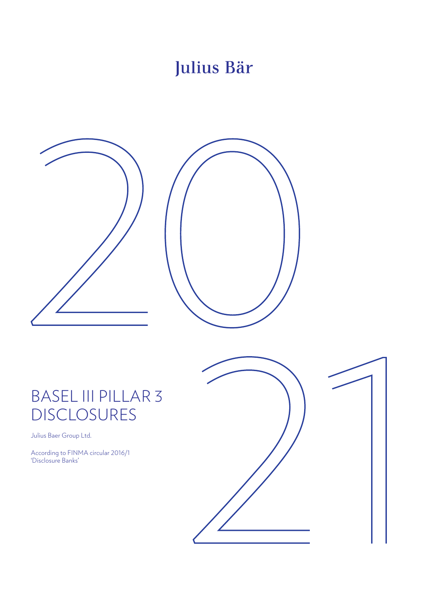# Julius Bär





# BASEL III PILLAR 3 DISCLOSURES

Julius Baer Group Ltd.

According to FINMA circular 2016/1 'Disclosure Banks'

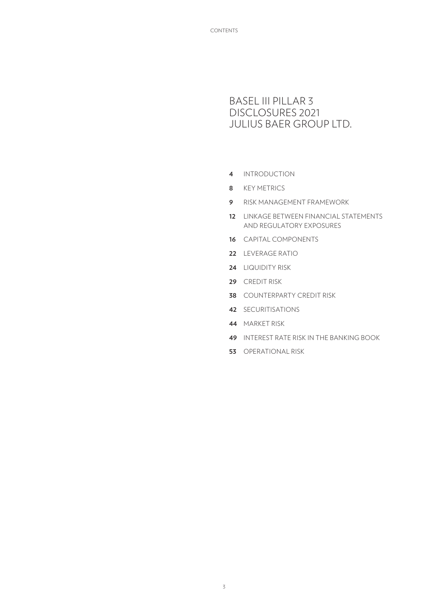# BASEL III PILLAR 3 DISCLOSURES 2021 JULIUS BAER GROUP LTD.

- [INTRODUCTION](#page-3-0)
- [KEY METRICS](#page-7-0)
- [RISK MANAGEMENT FRAMEWORK](#page-8-0)
- [LINKAGE BETWEEN FINANCIAL STATEMENTS](#page-11-0)  [AND REGULATORY EXPOSURES](#page-11-0)
- [CAPITAL COMPONENTS](#page-15-0)
- [LEVERAGE RATIO](#page-21-0)
- [LIQUIDITY RISK](#page-23-0)
- [CREDIT RISK](#page-28-0)
- [COUNTERPARTY CREDIT RISK](#page-37-0)
- [SECURITISATIONS](#page-41-0)
- [MARKET RISK](#page-43-0)
- [INTEREST RATE RISK IN THE BANKING BOOK](#page-48-0)
- [OPERATIONAL RISK](#page-52-0)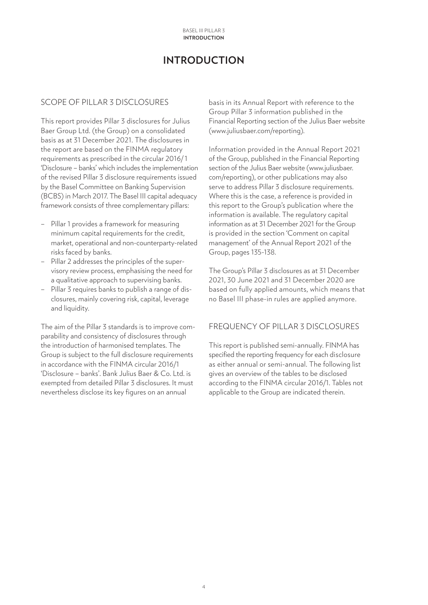# **INTRODUCTION**

# <span id="page-3-0"></span>SCOPE OF PILLAR 3 DISCLOSURES

This report provides Pillar 3 disclosures for Julius Baer Group Ltd. (the Group) on a consolidated basis as at 31 December 2021. The disclosures in the report are based on the FINMA regulatory requirements as prescribed in the circular 2016/ 1 'Disclosure – banks' which includes the implementation of the revised Pillar 3 disclosure requirements issued by the Basel Committee on Banking Supervision (BCBS) in March 2017. The Basel III capital adequacy framework consists of three complementary pillars:

- Pillar 1 provides a framework for measuring minimum capital requirements for the credit, market, operational and non-counterparty-related risks faced by banks.
- Pillar 2 addresses the principles of the supervisory review process, emphasising the need for a qualitative approach to supervising banks.
- Pillar 3 requires banks to publish a range of disclosures, mainly covering risk, capital, leverage and liquidity.

The aim of the Pillar 3 standards is to improve comparability and consistency of disclosures through the introduction of harmonised templates. The Group is subject to the full disclosure requirements in accordance with the FINMA circular 2016/1 'Disclosure – banks'. Bank Julius Baer & Co. Ltd. is exempted from detailed Pillar 3 disclosures. It must nevertheless disclose its key figures on an annual

basis in its Annual Report with reference to the Group Pillar 3 information published in the Financial Reporting section of the Julius Baer website (www.juliusbaer.com/reporting).

Information provided in the Annual Report 2021 of the Group, published in the Financial Reporting section of the Julius Baer website (www.juliusbaer. com/reporting), or other publications may also serve to address Pillar 3 disclosure requirements. Where this is the case, a reference is provided in this report to the Group's publication where the information is available. The regulatory capital information as at 31 December 2021 for the Group is provided in the section 'Comment on capital management' of the Annual Report 2021 of the Group, pages 135-138.

The Group's Pillar 3 disclosures as at 31 December 2021, 30 June 2021 and 31 December 2020 are based on fully applied amounts, which means that no Basel III phase-in rules are applied anymore.

# FREQUENCY OF PILLAR 3 DISCLOSURES

This report is published semi-annually. FINMA has specified the reporting frequency for each disclosure as either annual or semi-annual. The following list gives an overview of the tables to be disclosed according to the FINMA circular 2016/1. Tables not applicable to the Group are indicated therein.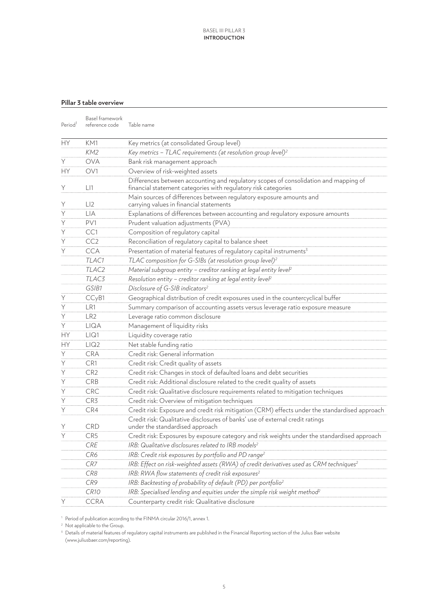## **Pillar 3 table overview**

| Period <sup>1</sup> | Basel framework<br>reference code | Table name                                                                                                                                             |
|---------------------|-----------------------------------|--------------------------------------------------------------------------------------------------------------------------------------------------------|
| НY                  | KM1                               | Key metrics (at consolidated Group level)                                                                                                              |
|                     | KM2                               | Key metrics - TLAC requirements (at resolution group level) <sup>2</sup>                                                                               |
| Y                   | <b>OVA</b>                        | Bank risk management approach                                                                                                                          |
| HY                  | OV1                               | Overview of risk-weighted assets                                                                                                                       |
| Y                   | L11                               | Differences between accounting and regulatory scopes of consolidation and mapping of<br>financial statement categories with regulatory risk categories |
| Y                   | LI2                               | Main sources of differences between regulatory exposure amounts and<br>carrying values in financial statements                                         |
| $\overline{Y}$      | <b>LIA</b>                        | Explanations of differences between accounting and regulatory exposure amounts                                                                         |
| $\overline{Y}$      | PV1                               | Prudent valuation adjustments (PVA)                                                                                                                    |
| $\overline{Y}$      | CC1                               | Composition of regulatory capital                                                                                                                      |
| $\overline{Y}$      | CC <sub>2</sub>                   | Reconciliation of regulatory capital to balance sheet                                                                                                  |
| Y                   | <b>CCA</b>                        | Presentation of material features of regulatory capital instruments <sup>3</sup>                                                                       |
|                     | TLAC1                             | TLAC composition for G-SIBs (at resolution group level) <sup>2</sup>                                                                                   |
|                     | TLAC <sub>2</sub>                 | Material subgroup entity - creditor ranking at legal entity level <sup>2</sup>                                                                         |
|                     | TLAC <sub>3</sub>                 | Resolution entity - creditor ranking at legal entity level <sup>2</sup>                                                                                |
|                     | GSIB1                             | Disclosure of G-SIB indicators <sup>2</sup>                                                                                                            |
| Y                   | CC <sub>y</sub> B1                | Geographical distribution of credit exposures used in the countercyclical buffer                                                                       |
| Y                   | LR1                               | Summary comparison of accounting assets versus leverage ratio exposure measure                                                                         |
| Y                   | LR <sub>2</sub>                   | Leverage ratio common disclosure                                                                                                                       |
| $\overline{Y}$      | LIQA                              | Management of liquidity risks                                                                                                                          |
| HY                  | LIQ1                              | Liquidity coverage ratio                                                                                                                               |
| <b>HY</b>           | LIQ2                              | Net stable funding ratio                                                                                                                               |
| Y                   | <b>CRA</b>                        | Credit risk: General information                                                                                                                       |
| Y                   | CR1                               | Credit risk: Credit quality of assets                                                                                                                  |
| Y                   | CR <sub>2</sub>                   | Credit risk: Changes in stock of defaulted loans and debt securities                                                                                   |
| $\overline{Y}$      | <b>CRB</b>                        | Credit risk: Additional disclosure related to the credit quality of assets                                                                             |
| Y                   | <b>CRC</b>                        | Credit risk: Qualitative disclosure requirements related to mitigation techniques                                                                      |
| Y                   | CR3                               | Credit risk: Overview of mitigation techniques                                                                                                         |
| Y                   | CR4                               | Credit risk: Exposure and credit risk mitigation (CRM) effects under the standardised approach                                                         |
| Y                   | <b>CRD</b>                        | Credit risk: Qualitative disclosures of banks' use of external credit ratings<br>under the standardised approach                                       |
| Ÿ                   | CR5                               | Credit risk: Exposures by exposure category and risk weights under the standardised approach                                                           |
|                     | <b>CRE</b>                        | IRB: Qualitative disclosures related to IRB models <sup>2</sup>                                                                                        |
|                     | CR6                               | IRB: Credit risk exposures by portfolio and PD range <sup>2</sup>                                                                                      |
|                     | CR7                               | IRB: Effect on risk-weighted assets (RWA) of credit derivatives used as CRM techniques <sup>2</sup>                                                    |
|                     | CR8                               | IRB: RWA flow statements of credit risk exposures <sup>2</sup>                                                                                         |
|                     | CR9                               | IRB: Backtesting of probability of default (PD) per portfolio <sup>2</sup>                                                                             |
|                     | <b>CR10</b>                       | IRB: Specialised lending and equities under the simple risk weight method <sup>2</sup>                                                                 |
| Υ                   | <b>CCRA</b>                       | Counterparty credit risk: Qualitative disclosure                                                                                                       |

<sup>1</sup> Period of publication according to the FINMA circular 2016/1, annex 1.

<sup>2</sup> Not applicable to the Group.

<sup>3</sup> Details of material features of regulatory capital instruments are published in the Financial Reporting section of the Julius Baer website (www.juliusbaer.com/reporting).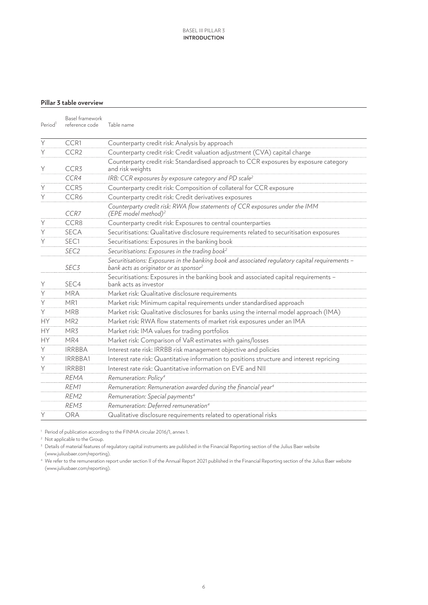#### **Pillar 3 table overview**

| Period <sup>1</sup> | Basel framework<br>reference code | Table name                                                                                                                                            |
|---------------------|-----------------------------------|-------------------------------------------------------------------------------------------------------------------------------------------------------|
| Y                   | CCR1                              | Counterparty credit risk: Analysis by approach                                                                                                        |
| $\overline{Y}$      | CCR <sub>2</sub>                  | Counterparty credit risk: Credit valuation adjustment (CVA) capital charge                                                                            |
| Y                   | CCR <sub>3</sub>                  | Counterparty credit risk: Standardised approach to CCR exposures by exposure category<br>and risk weights                                             |
|                     | CCR4                              | IRB: CCR exposures by exposure category and PD scale <sup>2</sup>                                                                                     |
| Y                   | CCR5                              | Counterparty credit risk: Composition of collateral for CCR exposure                                                                                  |
| $\overline{Y}$      | CCR6                              | Counterparty credit risk: Credit derivatives exposures                                                                                                |
|                     | CCR7                              | Counterparty credit risk: RWA flow statements of CCR exposures under the IMM<br>(EPE model method) <sup>2</sup>                                       |
| Y                   | CCR8                              | Counterparty credit risk: Exposures to central counterparties                                                                                         |
| Y                   | <b>SECA</b>                       | Securitisations: Qualitative disclosure requirements related to securitisation exposures                                                              |
| Y                   | SEC <sub>1</sub>                  | Securitisations: Exposures in the banking book                                                                                                        |
|                     | SEC <sub>2</sub>                  | Securitisations: Exposures in the trading book <sup>2</sup>                                                                                           |
|                     | SEC <sub>3</sub>                  | Securitisations: Exposures in the banking book and associated regulatory capital requirements -<br>bank acts as originator or as sponsor <sup>2</sup> |
| Υ                   | SEC4                              | Securitisations: Exposures in the banking book and associated capital requirements -<br>bank acts as investor                                         |
| Y                   | <b>MRA</b>                        | Market risk: Qualitative disclosure requirements                                                                                                      |
| Y                   | MR1                               | Market risk: Minimum capital requirements under standardised approach                                                                                 |
| Y                   | <b>MRB</b>                        | Market risk: Qualitative disclosures for banks using the internal model approach (IMA)                                                                |
| <b>HY</b>           | MR <sub>2</sub>                   | Market risk: RWA flow statements of market risk exposures under an IMA                                                                                |
| <b>HY</b>           | MR3                               | Market risk: IMA values for trading portfolios                                                                                                        |
| <b>HY</b>           | MR4                               | Market risk: Comparison of VaR estimates with gains/losses                                                                                            |
| Υ                   | <b>IRRBBA</b>                     | Interest rate risk: IRRBB risk management objective and policies                                                                                      |
| Ÿ                   | IRRBBA1                           | Interest rate risk: Quantitative information to positions structure and interest repricing                                                            |
| Y                   | IRRBB1                            | Interest rate risk: Quantitative information on EVE and NII                                                                                           |
|                     | <b>RFMA</b>                       | Remuneration: Policy <sup>4</sup>                                                                                                                     |
|                     | REM1                              | Remuneration: Remuneration awarded during the financial year <sup>4</sup>                                                                             |
|                     | REM2                              | Remuneration: Special payments <sup>4</sup>                                                                                                           |
|                     | REM3                              | Remuneration: Deferred remuneration <sup>4</sup>                                                                                                      |
| Y                   | ORA                               | Qualitative disclosure requirements related to operational risks                                                                                      |

<sup>1</sup> Period of publication according to the FINMA circular 2016/1, annex 1.

<sup>2</sup> Not applicable to the Group.

<sup>3</sup> Details of material features of regulatory capital instruments are published in the Financial Reporting section of the Julius Baer website (www.juliusbaer.com/reporting).

4 We refer to the remuneration report under section II of the Annual Report 2021 published in the Financial Reporting section of the Julius Baer website (www.juliusbaer.com/reporting).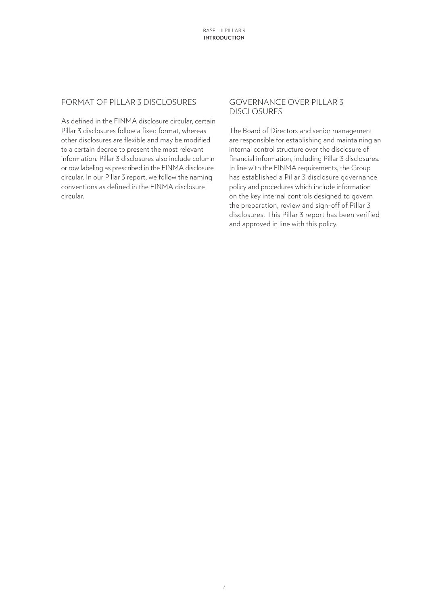## FORMAT OF PILLAR 3 DISCLOSURES

As defined in the FINMA disclosure circular, certain Pillar 3 disclosures follow a fixed format, whereas other disclosures are flexible and may be modified to a certain degree to present the most relevant information. Pillar 3 disclosures also include column or row labeling as prescribed in the FINMA disclosure circular. In our Pillar 3 report, we follow the naming conventions as defined in the FINMA disclosure circular.

## GOVERNANCE OVER PILLAR 3 DISCLOSURES

The Board of Directors and senior management are responsible for establishing and maintaining an internal control structure over the disclosure of financial information, including Pillar 3 disclosures. In line with the FINMA requirements, the Group has established a Pillar 3 disclosure governance policy and procedures which include information on the key internal controls designed to govern the preparation, review and sign-off of Pillar 3 disclosures. This Pillar 3 report has been verified and approved in line with this policy.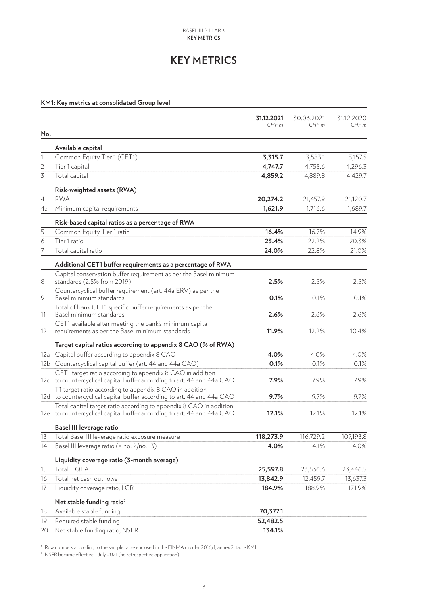# **KEY METRICS**

#### <span id="page-7-0"></span>**KM1: Key metrics at consolidated Group level**

|                  |                                                                                                                                   | 31.12.2021<br>CHFm | 30.06.2021<br>CHF m | 31.12.2020<br>CHF m |
|------------------|-----------------------------------------------------------------------------------------------------------------------------------|--------------------|---------------------|---------------------|
| No. <sup>1</sup> |                                                                                                                                   |                    |                     |                     |
|                  | Available capital                                                                                                                 |                    |                     |                     |
| 1                | Common Equity Tier 1 (CET1)                                                                                                       | 3,315.7            | 3,583.1             | 3,157.5             |
| $\overline{2}$   | Tier 1 capital                                                                                                                    | 4,747.7            | 4,753.6             | 4,296.3             |
| 3                | Total capital                                                                                                                     | 4,859.2            | 4,889.8             | 4,429.7             |
|                  | Risk-weighted assets (RWA)                                                                                                        |                    |                     |                     |
| $\overline{4}$   | <b>RWA</b>                                                                                                                        | 20,274.2           | 21,457.9            | 21,120.7            |
| 4a               | Minimum capital requirements                                                                                                      | 1,621.9            | 1,716.6             | 1,689.7             |
|                  | Risk-based capital ratios as a percentage of RWA                                                                                  |                    |                     |                     |
| 5                | Common Equity Tier 1 ratio                                                                                                        | 16.4%              | 16.7%               | 14.9%               |
| 6                | Tier 1 ratio                                                                                                                      | 23.4%              | 22.2%               | 20.3%               |
| 7                | Total capital ratio                                                                                                               | 24.0%              | 22.8%               | 21.0%               |
|                  | Additional CET1 buffer requirements as a percentage of RWA                                                                        |                    |                     |                     |
|                  | Capital conservation buffer requirement as per the Basel minimum                                                                  |                    |                     |                     |
| 8                | standards (2.5% from 2019)                                                                                                        | 2.5%               | 2.5%                | 2.5%                |
| 9                | Countercyclical buffer requirement (art. 44a ERV) as per the<br>Basel minimum standards                                           | 0.1%               | 0.1%                | 0.1%                |
|                  | Total of bank CET1 specific buffer requirements as per the<br>Basel minimum standards                                             | 2.6%               | 2.6%                | 2.6%                |
| 11               | CET1 available after meeting the bank's minimum capital                                                                           |                    |                     |                     |
| 12               | requirements as per the Basel minimum standards                                                                                   | 11.9%              | 12.2%               | 10.4%               |
|                  | Target capital ratios according to appendix 8 CAO (% of RWA)                                                                      |                    |                     |                     |
| 12a              | Capital buffer according to appendix 8 CAO                                                                                        | 4.0%               | 4.0%                | 4.0%                |
|                  | 12b Countercyclical capital buffer (art. 44 and 44a CAO)                                                                          | 0.1%               | 0.1%                | 0.1%                |
|                  | CET1 target ratio according to appendix 8 CAO in addition                                                                         |                    |                     |                     |
|                  | 12c to countercyclical capital buffer according to art. 44 and 44a CAO                                                            | 7.9%               | 7.9%                | 7.9%                |
|                  | T1 target ratio according to appendix 8 CAO in addition<br>12d to countercyclical capital buffer according to art. 44 and 44a CAO | 9.7%               | 9.7%                | 9.7%                |
|                  | Total capital target ratio according to appendix 8 CAO in addition                                                                |                    |                     |                     |
|                  | 12e to countercyclical capital buffer according to art. 44 and 44a CAO                                                            | 12.1%              | 12.1%               | 12.1%               |
|                  | <b>Basel III leverage ratio</b>                                                                                                   |                    |                     |                     |
| 13               | Total Basel III leverage ratio exposure measure                                                                                   | 118,273.9          | 116,729.2           | 107,193.8           |
| 14               | Basel III leverage ratio (= no. 2/no. 13)                                                                                         | 4.0%               | 4.1%                | 4.0%                |
|                  | Liquidity coverage ratio (3-month average)                                                                                        |                    |                     |                     |
| 15               | Total HQLA                                                                                                                        | 25,597.8           | 23,536.6            | 23,446.5            |
| 16               | Total net cash outflows                                                                                                           | 13,842.9           | 12,459.7            | 13,637.3            |
| 17               | Liquidity coverage ratio, LCR                                                                                                     | 184.9%             | 188.9%              | 171.9%              |
|                  | Net stable funding ratio <sup>2</sup>                                                                                             |                    |                     |                     |
| 18               | Available stable funding                                                                                                          | 70,377.1           |                     |                     |
| 19               | Required stable funding                                                                                                           | 52,482.5           |                     |                     |
| 20               | Net stable funding ratio, NSFR                                                                                                    | 134.1%             |                     |                     |

<sup>1</sup> Row numbers according to the sample table enclosed in the FINMA circular 2016/1, annex 2, table KM1.

<sup>2</sup> NSFR became effective 1 July 2021 (no retrospective application).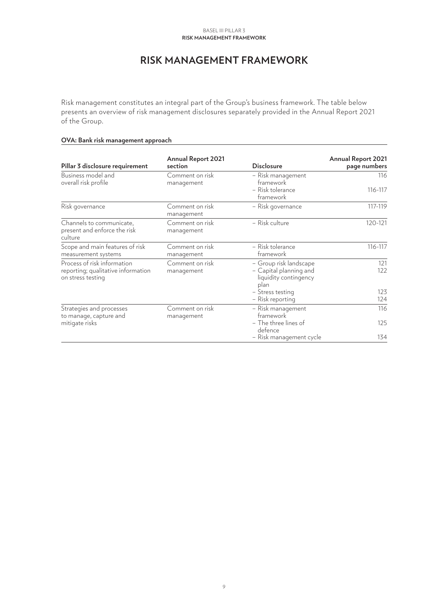#### **Risk management framework** Basel III Pillar 3

# **RISK MANAGEMENT FRAMEWORK**

<span id="page-8-0"></span>Risk management constitutes an integral part of the Group's business framework. The table below presents an overview of risk management disclosures separately provided in the Annual Report 2021 of the Group.

#### **OVA: Bank risk management approach**

| Pillar 3 disclosure requirement                                                        | <b>Annual Report 2021</b><br>section | <b>Disclosure</b>                                                                 | <b>Annual Report 2021</b><br>page numbers |
|----------------------------------------------------------------------------------------|--------------------------------------|-----------------------------------------------------------------------------------|-------------------------------------------|
| Business model and<br>overall risk profile                                             | Comment on risk<br>management        | - Risk management<br>framework                                                    | 116                                       |
|                                                                                        |                                      | - Risk tolerance<br>framework                                                     | 116-117                                   |
| Risk governance                                                                        | Comment on risk<br>management        | - Risk governance                                                                 | 117-119                                   |
| Channels to communicate,<br>present and enforce the risk<br>culture                    | Comment on risk<br>management        | - Risk culture                                                                    | 120-121                                   |
| Scope and main features of risk<br>measurement systems                                 | Comment on risk<br>management        | - Risk tolerance<br>framework                                                     | 116-117                                   |
| Process of risk information<br>reporting; qualitative information<br>on stress testing | Comment on risk<br>management        | - Group risk landscape<br>- Capital planning and<br>liquidity contingency<br>plan | 121<br>122                                |
|                                                                                        |                                      | – Stress testing<br>- Risk reporting                                              | 123<br>124                                |
| Strategies and processes<br>to manage, capture and                                     | Comment on risk<br>management        | - Risk management<br>framework                                                    | 116                                       |
| mitigate risks                                                                         |                                      | - The three lines of<br>defence                                                   | 125                                       |
|                                                                                        |                                      | – Risk management cycle                                                           | 134                                       |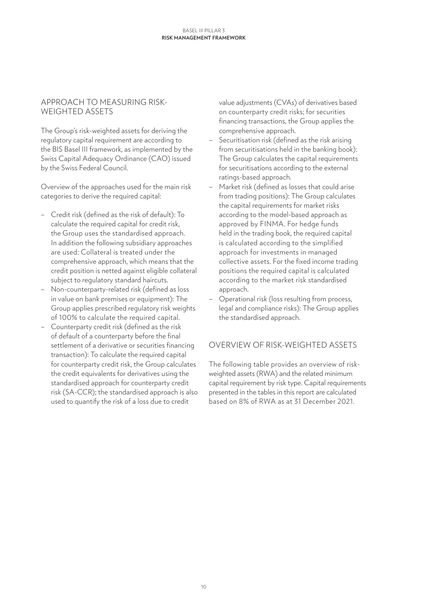#### **Risk management framework** Basel III Pillar 3

#### APPROACH TO MEASURING RISK-WEIGHTED ASSETS

The Group's risk-weighted assets for deriving the regulatory capital requirement are according to the BIS Basel III framework, as implemented by the Swiss Capital Adequacy Ordinance (CAO) issued by the Swiss Federal Council.

Overview of the approaches used for the main risk categories to derive the required capital:

- Credit risk (defined as the risk of default): To calculate the required capital for credit risk, the Group uses the standardised approach. In addition the following subsidiary approaches are used: Collateral is treated under the comprehensive approach, which means that the credit position is netted against eligible collateral subject to regulatory standard haircuts.
- Non-counterparty-related risk (defined as loss in value on bank premises or equipment): The Group applies prescribed regulatory risk weights of 100% to calculate the required capital.
- Counterparty credit risk (defined as the risk of default of a counterparty before the final settlement of a derivative or securities financing transaction): To calculate the required capital for counterparty credit risk, the Group calculates the credit equivalents for derivatives using the standardised approach for counterparty credit risk (SA-CCR); the standardised approach is also used to quantify the risk of a loss due to credit

value adjustments (CVAs) of derivatives based on counterparty credit risks; for securities financing transactions, the Group applies the comprehensive approach.

- Securitisation risk (defined as the risk arising from securitisations held in the banking book): The Group calculates the capital requirements for securitisations according to the external ratings-based approach.
- Market risk (defined as losses that could arise from trading positions): The Group calculates the capital requirements for market risks according to the model-based approach as approved by FINMA. For hedge funds held in the trading book, the required capital is calculated according to the simplified approach for investments in managed collective assets. For the fixed income trading positions the required capital is calculated according to the market risk standardised approach.
- Operational risk (loss resulting from process, legal and compliance risks): The Group applies the standardised approach.

# OVERVIEW OF RISK-WEIGHTED ASSETS

The following table provides an overview of riskweighted assets (RWA) and the related minimum capital requirement by risk type. Capital requirements presented in the tables in this report are calculated based on 8% of RWA as at 31 December 2021.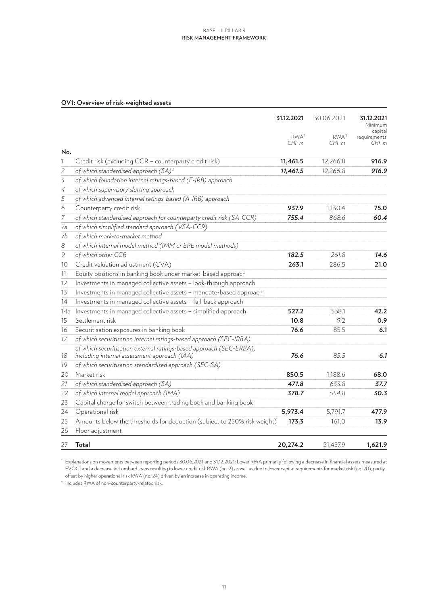#### **Risk management framework** Basel III Pillar 3

#### **OV1: Overview of risk-weighted assets**

|                          |                                                                                                                     | 31.12.2021               | 30.06.2021               | 31.12.2021<br>Minimum<br>capital |
|--------------------------|---------------------------------------------------------------------------------------------------------------------|--------------------------|--------------------------|----------------------------------|
|                          |                                                                                                                     | RWA <sup>1</sup><br>CHFm | RWA <sup>1</sup><br>CHFm | requirements<br>CHFm             |
| No.                      |                                                                                                                     |                          |                          |                                  |
| 1                        | Credit risk (excluding CCR - counterparty credit risk)                                                              | 11,461.5                 | 12,266.8                 | 916.9                            |
| $\sqrt{2}$               | of which standardised approach (SA) <sup>2</sup>                                                                    | 11,461.5                 | 12,266.8                 | 916.9                            |
| $\overline{\mathcal{S}}$ | of which foundation internal ratings-based (F-IRB) approach                                                         |                          |                          |                                  |
| $\overline{4}$           | of which supervisory slotting approach                                                                              |                          |                          |                                  |
| $\overline{5}$           | of which advanced internal ratings-based (A-IRB) approach                                                           |                          |                          |                                  |
| 6                        | Counterparty credit risk                                                                                            | 937.9                    | 1,130.4                  | 75.0                             |
| $\boldsymbol{7}$         | of which standardised approach for counterparty credit risk (SA-CCR)                                                | 755.4                    | 868.6                    | 60.4                             |
| 7a                       | of which simplified standard approach (VSA-CCR)                                                                     |                          |                          |                                  |
| 7b                       | of which mark-to-market method                                                                                      |                          |                          |                                  |
| $\boldsymbol{8}$         | of which internal model method (IMM or EPE model methods)                                                           |                          |                          |                                  |
| 9                        | of which other CCR                                                                                                  | 182.5                    | 261.8                    | 14.6                             |
| 10                       | Credit valuation adjustment (CVA)                                                                                   | 263.1                    | 286.5                    | 21.0                             |
| 11                       | Equity positions in banking book under market-based approach                                                        |                          |                          |                                  |
| 12                       | Investments in managed collective assets - look-through approach                                                    |                          |                          |                                  |
| 13                       | Investments in managed collective assets - mandate-based approach                                                   |                          |                          |                                  |
| 14                       | Investments in managed collective assets - fall-back approach                                                       |                          |                          |                                  |
| 14a                      | Investments in managed collective assets - simplified approach                                                      | 527.2                    | 538.1                    | 42.2                             |
| 15                       | Settlement risk                                                                                                     | 10.8                     | 9.2                      | 0.9                              |
| 16                       | Securitisation exposures in banking book                                                                            | 76.6                     | 85.5                     | 6.1                              |
| 17                       | of which securitisation internal ratings-based approach (SEC-IRBA)                                                  |                          |                          |                                  |
| 18                       | of which securitisation external ratings-based approach (SEC-ERBA),<br>including internal assessment approach (IAA) | 76.6                     | 85.5                     | 6.1                              |
| 19                       | of which securitisation standardised approach (SEC-SA)                                                              |                          |                          |                                  |
| 20                       | Market risk                                                                                                         | 850.5                    | 1,188.6                  | 68.0                             |
| 21                       | of which standardised approach (SA)                                                                                 | 471.8                    | 633.8                    | 37.7                             |
| 22                       | of which internal model approach (IMA)                                                                              | 378.7                    | 554.8                    | 30.3                             |
| 23                       | Capital charge for switch between trading book and banking book                                                     |                          |                          |                                  |
| 24                       | Operational risk                                                                                                    | 5,973.4                  | 5,791.7                  | 477.9                            |
| 25                       | Amounts below the thresholds for deduction (subject to 250% risk weight)                                            | 173.3                    | 161.0                    | 13.9                             |
| 26                       | Floor adjustment                                                                                                    |                          |                          |                                  |
| 27                       | Total                                                                                                               | 20,274.2                 | 21,457.9                 | 1,621.9                          |

 Explanations on movements between reporting periods 30.06.2021 and 31.12.2021: Lower RWA primarily following a decrease in financial assets measured at FVOCI and a decrease in Lombard loans resulting in lower credit risk RWA (no. 2) as well as due to lower capital requirements for market risk (no. 20), partly offset by higher operational risk RWA (no. 24) driven by an increase in operating income.

Includes RWA of non-counterparty-related risk.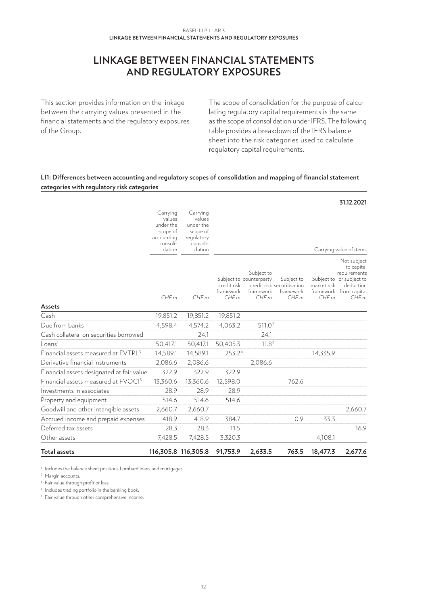# **LINKAGE BETWEEN FINANCIAL STATEMENTS AND REGULATORY EXPOSURES**

<span id="page-11-0"></span>This section provides information on the linkage between the carrying values presented in the financial statements and the regulatory exposures of the Group.

The scope of consolidation for the purpose of calculating regulatory capital requirements is the same as the scope of consolidation under IFRS. The following table provides a breakdown of the IFRS balance sheet into the risk categories used to calculate regulatory capital requirements.

#### **LI1: Differences between accounting and regulatory scopes of consolidation and mapping of financial statement categories with regulatory risk categories**

| <b>Total assets</b>                             |                                                           | 116,305.8 116,305.8                                       | 91,753.9                         | 2,633.5                                                    | 763.5                                                         | 18,477.3            | 2,677.6                                                                                                                                         |
|-------------------------------------------------|-----------------------------------------------------------|-----------------------------------------------------------|----------------------------------|------------------------------------------------------------|---------------------------------------------------------------|---------------------|-------------------------------------------------------------------------------------------------------------------------------------------------|
| Other assets                                    | 7,428.5                                                   | 7,428.5                                                   | 3,320.3                          |                                                            |                                                               | 4,108.1             |                                                                                                                                                 |
| Deferred tax assets                             | 28.3                                                      | 28.3                                                      | 11.5                             |                                                            |                                                               |                     | 16.9                                                                                                                                            |
| Accrued income and prepaid expenses             | 418.9                                                     | 418.9                                                     | 384.7                            |                                                            | 0.9                                                           | 33.3                |                                                                                                                                                 |
| Goodwill and other intangible assets            | 2,660.7                                                   | 2,660.7                                                   |                                  |                                                            |                                                               |                     | 2,660.7                                                                                                                                         |
| Property and equipment                          | 514.6                                                     | 514.6                                                     | 514.6                            |                                                            |                                                               |                     |                                                                                                                                                 |
| Investments in associates                       | 28.9                                                      | 28.9                                                      | 28.9                             |                                                            |                                                               |                     |                                                                                                                                                 |
| Financial assets measured at FVOCI <sup>5</sup> | 13,360.6                                                  | 13,360.6                                                  | 12,598.0                         |                                                            | 762.6                                                         |                     |                                                                                                                                                 |
| Financial assets designated at fair value       | 322.9                                                     | 322.9                                                     | 322.9                            |                                                            |                                                               |                     |                                                                                                                                                 |
| Derivative financial instruments                | 2,086.6                                                   | 2,086.6                                                   |                                  | 2,086.6                                                    |                                                               |                     |                                                                                                                                                 |
| Financial assets measured at FVTPL <sup>3</sup> | 14,589.1                                                  | 14,589.1                                                  | 253.24                           |                                                            |                                                               | 14,335.9            |                                                                                                                                                 |
| Loans <sup>1</sup>                              | 50,417.1                                                  | 50,417.1                                                  | 50,405.3                         | 11.8 <sup>2</sup>                                          |                                                               |                     |                                                                                                                                                 |
| Cash collateral on securities borrowed          |                                                           | 24.1                                                      |                                  | 24.1                                                       |                                                               |                     |                                                                                                                                                 |
| Due from banks                                  | 4,598.4                                                   | 4,574.2                                                   | 4,063.2                          | 511.0 <sup>2</sup>                                         |                                                               |                     |                                                                                                                                                 |
| Cash                                            | 19,851.2                                                  | 19,851.2                                                  | 19,851.2                         |                                                            |                                                               |                     |                                                                                                                                                 |
| Assets                                          | consoli-<br>dation<br>CHFm                                | consoli-<br>dation<br>CHFm                                | credit risk<br>framework<br>CHFm | Subject to<br>Subject to counterparty<br>framework<br>CHFm | Subject to<br>credit risk securitisation<br>framework<br>CHFm | market risk<br>CHFm | Carrying value of items<br>Not subject<br>to capital<br>requirements<br>Subject to or subject to<br>deduction<br>framework from capital<br>CHFm |
|                                                 | Carrying<br>values<br>under the<br>scope of<br>accounting | Carrying<br>values<br>under the<br>scope of<br>regulatory |                                  |                                                            |                                                               |                     |                                                                                                                                                 |
|                                                 |                                                           |                                                           |                                  |                                                            |                                                               |                     | 31.12.2021                                                                                                                                      |

<sup>1</sup> Includes the balance sheet positions Lombard loans and mortgages.

<sup>2</sup> Margin accounts.

 $3$  Fair value through profit or loss.

<sup>4</sup> Includes trading portfolio in the banking book.

<sup>5</sup> Fair value through other comprehensive income.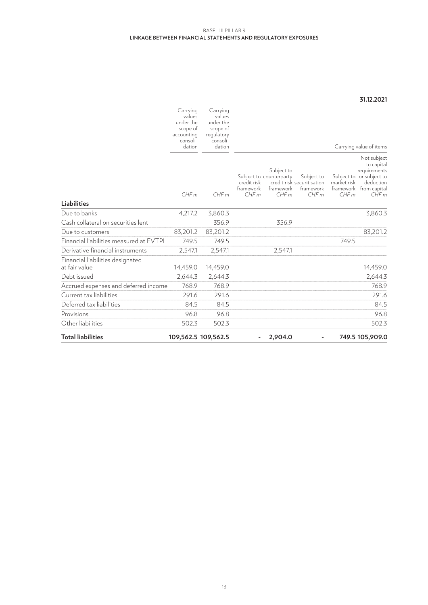#### **Linkage between financial statements and regulatory exposures** Basel III Pillar 3

#### **31.12.2021**

|                                                   | Carrying<br>values<br>under the | Carrying<br>values<br>under the |                                  |                                                            |                                                               |                     |                                                                                                                      |
|---------------------------------------------------|---------------------------------|---------------------------------|----------------------------------|------------------------------------------------------------|---------------------------------------------------------------|---------------------|----------------------------------------------------------------------------------------------------------------------|
|                                                   | scope of<br>accounting          | scope of<br>regulatory          |                                  |                                                            |                                                               |                     |                                                                                                                      |
|                                                   | consoli-<br>dation              | consoli-<br>dation              |                                  |                                                            |                                                               |                     | Carrying value of items                                                                                              |
| <b>Liabilities</b>                                | CHFm                            | CHFm                            | credit risk<br>framework<br>CHFm | Subject to<br>Subject to counterparty<br>framework<br>CHFm | Subject to<br>credit risk securitisation<br>framework<br>CHFm | market risk<br>CHFm | Not subject<br>to capital<br>requirements<br>Subject to or subject to<br>deduction<br>framework from capital<br>CHFm |
| Due to banks                                      | 4,217.2                         | 3,860.3                         |                                  |                                                            |                                                               |                     | 3,860.3                                                                                                              |
| Cash collateral on securities lent                |                                 | 356.9                           |                                  | 356.9                                                      |                                                               |                     |                                                                                                                      |
| Due to customers                                  | 83,201.2                        | 83,201.2                        |                                  |                                                            |                                                               |                     | 83,201.2                                                                                                             |
| Financial liabilities measured at FVTPL           | 749.5                           | 749.5                           |                                  |                                                            |                                                               | 749.5               |                                                                                                                      |
| Derivative financial instruments                  | 2,547.1                         | 2,547.1                         |                                  | 2,547.1                                                    |                                                               |                     |                                                                                                                      |
| Financial liabilities designated<br>at fair value | 14,459.0                        | 14,459.0                        |                                  |                                                            |                                                               |                     | 14,459.0                                                                                                             |
| Debt issued                                       | 2,644.3                         | 2,644.3                         |                                  |                                                            |                                                               |                     | 2,644.3                                                                                                              |
| Accrued expenses and deferred income              | 768.9                           | 768.9                           |                                  |                                                            |                                                               |                     | 768.9                                                                                                                |
| Current tax liabilities                           | 291.6                           | 291.6                           |                                  |                                                            |                                                               |                     | 291.6                                                                                                                |
| Deferred tax liabilities                          | 84.5                            | 84.5                            |                                  |                                                            |                                                               |                     | 84.5                                                                                                                 |
| Provisions                                        | 96.8                            | 96.8                            |                                  |                                                            |                                                               |                     | 96.8                                                                                                                 |
| Other liabilities                                 | 502.3                           | 502.3                           |                                  |                                                            |                                                               |                     | 502.3                                                                                                                |
| <b>Total liabilities</b>                          |                                 | 109,562.5 109,562.5             |                                  | 2,904.0                                                    |                                                               |                     | 749.5 105,909.0                                                                                                      |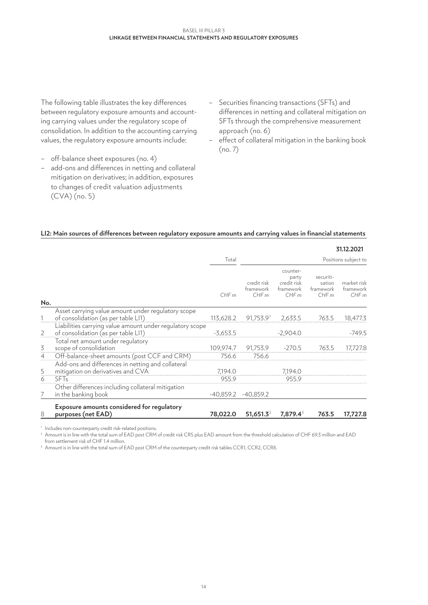The following table illustrates the key differences between regulatory exposure amounts and accounting carrying values under the regulatory scope of consolidation. In addition to the accounting carrying values, the regulatory exposure amounts include:

- off-balance sheet exposures (no. 4)
- add-ons and differences in netting and collateral mitigation on derivatives; in addition, exposures to changes of credit valuation adjustments (CVA) (no. 5)
- Securities financing transactions (SFTs) and differences in netting and collateral mitigation on SFTs through the comprehensive measurement approach (no. 6)
- effect of collateral mitigation in the banking book (no. 7)

#### **LI2: Main sources of differences between regulatory exposure amounts and carrying values in financial statements**

|                |                                                                  |             |                                  |                                                       |                                          | 31.12.2021                       |
|----------------|------------------------------------------------------------------|-------------|----------------------------------|-------------------------------------------------------|------------------------------------------|----------------------------------|
|                |                                                                  | Total       |                                  |                                                       |                                          | Positions subject to             |
| No.            |                                                                  | CHFm        | credit risk<br>framework<br>CHFm | counter-<br>party<br>credit risk<br>framework<br>CHFm | securiti-<br>sation<br>framework<br>CHFm | market risk<br>framework<br>CHFm |
|                | Asset carrying value amount under regulatory scope               |             |                                  |                                                       |                                          |                                  |
|                | of consolidation (as per table LI1)                              | 113,628.2   | 91,753.91                        | 2,633.5                                               | 763.5                                    | 18,477.3                         |
|                | Liabilities carrying value amount under regulatory scope         |             |                                  |                                                       |                                          |                                  |
| 2              | of consolidation (as per table LI1)                              | $-3,653.5$  |                                  | $-2,904.0$                                            |                                          | $-749.5$                         |
|                | Total net amount under regulatory                                |             |                                  |                                                       |                                          |                                  |
| $\overline{3}$ | scope of consolidation                                           | 109,974.7   | 91,753.9                         | $-270.5$                                              | 763.5                                    | 17,727.8                         |
| $\overline{4}$ | Off-balance-sheet amounts (post CCF and CRM)                     | 756.6       | 756.6                            |                                                       |                                          |                                  |
|                | Add-ons and differences in netting and collateral                |             |                                  |                                                       |                                          |                                  |
| $\overline{5}$ | mitigation on derivatives and CVA                                | 7,194.0     |                                  | 7,194.0                                               |                                          |                                  |
| 6              | <b>SFT<sub>s</sub></b>                                           | 955.9       |                                  | 955.9                                                 |                                          |                                  |
|                | Other differences including collateral mitigation                |             |                                  |                                                       |                                          |                                  |
| 7              | in the banking book                                              | $-40,859.2$ | $-40,859.2$                      |                                                       |                                          |                                  |
| 8              | Exposure amounts considered for regulatory<br>purposes (net EAD) | 78,022.0    | $51,651.3^2$                     | 7,879.4 <sup>3</sup>                                  | 763.5                                    | 17,727.8                         |

<sup>1</sup> Includes non-counterparty credit risk-related positions.

<sup>2</sup> Amount is in line with the total sum of EAD post CRM of credit risk CR5 plus EAD amount from the threshold calculation of CHF 69.3 million and EAD from settlement risk of CHF 1.4 million.

<sup>3</sup> Amount is in line with the total sum of EAD post CRM of the counterparty credit risk tables CCR1, CCR2, CCR8.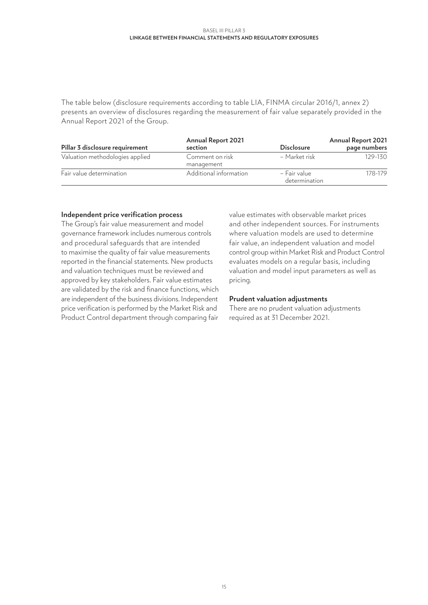#### **Linkage between financial statements and regulatory exposures** Basel III Pillar 3

The table below (disclosure requirements according to table LIA, FINMA circular 2016/1, annex 2) presents an overview of disclosures regarding the measurement of fair value separately provided in the Annual Report 2021 of the Group.

| Pillar 3 disclosure requirement | <b>Annual Report 2021</b><br>section | <b>Disclosure</b>             | <b>Annual Report 2021</b><br>page numbers |
|---------------------------------|--------------------------------------|-------------------------------|-------------------------------------------|
| Valuation methodologies applied | Comment on risk<br>management        | – Market risk                 | $129 - 130$                               |
| Fair value determination        | Additional information               | - Fair value<br>determination | 178-179                                   |

#### **Independent price verification process**

The Group's fair value measurement and model governance framework includes numerous controls and procedural safeguards that are intended to maximise the quality of fair value measurements reported in the financial statements. New products and valuation techniques must be reviewed and approved by key stakeholders. Fair value estimates are validated by the risk and finance functions, which are independent of the business divisions. Independent price verification is performed by the Market Risk and Product Control department through comparing fair

value estimates with observable market prices and other independent sources. For instruments where valuation models are used to determine fair value, an independent valuation and model control group within Market Risk and Product Control evaluates models on a regular basis, including valuation and model input parameters as well as pricing.

#### **Prudent valuation adjustments**

There are no prudent valuation adjustments required as at 31 December 2021.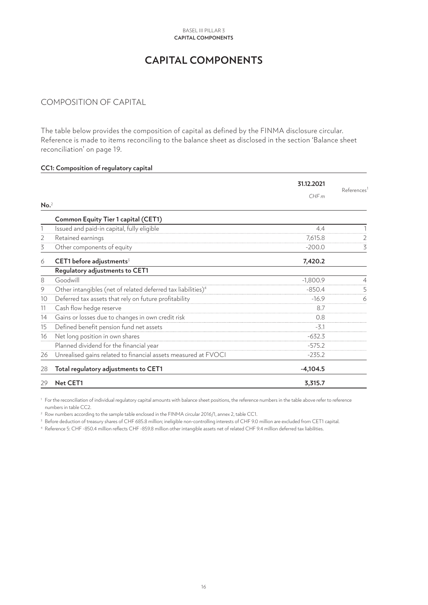# **CAPITAL COMPONENTS**

# <span id="page-15-0"></span>COMPOSITION OF CAPITAL

The table below provides the composition of capital as defined by the FINMA disclosure circular. Reference is made to items reconciling to the balance sheet as disclosed in the section 'Balance sheet reconciliation' on page 19.

# **CC1: Composition of regulatory capital 31.12.2021**References<sup>1</sup> *CHF m*  $No.$ <sup>2</sup>  **Common Equity Tier 1 capital (CET1)** 1 Issued and paid-in capital, fully eligible 1 and 1 and 1 and 1 and 1 and 1 and 1 and 1 and 1 and 1 and 1 and 1 and 1 and 1 and 1 and 1 and 1 and 1 and 1 and 1 and 1 and 1 and 1 and 1 and 1 and 1 and 1 and 1 and 1 and 1 a 2 Retained earnings 2 2 Retained earnings 2 3 Other components of equity 3 Other components of equity 6 **CET1 before adjustments**<sup>3</sup> **7,420.2 Regulatory adjustments to CET1** 8 Goodwill -1,800.9 4 9 Other intangibles (net of related deferred tax liabilities)<sup>4</sup> -850.4 -850.4 5 10 Deferred tax assets that rely on future profitability and the state of the state of the 16.9 6 6 11 Cash flow hedge reserve 8.7 14 Gains or losses due to changes in own credit risk 0.8 15 Defined benefit pension fund net assets -3.1 16 Net long position in own shares  $-632.3$ Planned dividend for the financial year -575.2 26 Unrealised gains related to financial assets measured at FVOCI - The Matteo -235.2 28 **Total regulatory adjustments to CET1 -4,104.5** 29 **Net CET1 3,315.7**

<sup>1</sup> For the reconciliation of individual requlatory capital amounts with balance sheet positions, the reference numbers in the table above refer to reference numbers in table CC2.

<sup>2</sup> Row numbers according to the sample table enclosed in the FINMA circular 2016/1, annex 2, table CC1.

<sup>3</sup> Before deduction of treasury shares of CHF 685.8 million; ineligible non-controlling interests of CHF 9.0 million are excluded from CET1 capital.

<sup>4</sup> Reference 5: CHF -850.4 million reflects CHF -859.8 million other intangible assets net of related CHF 9.4 million deferred tax liabilities.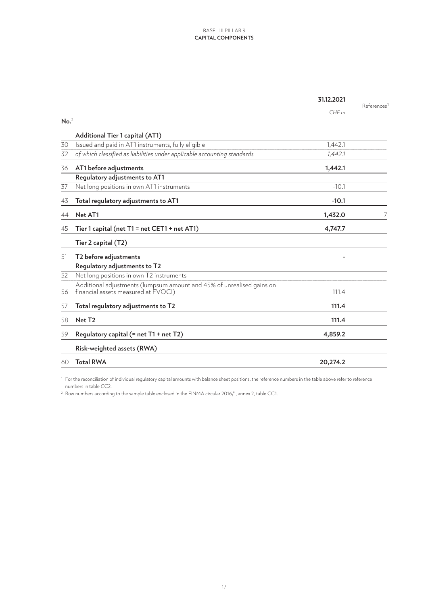|                  |                                                                                                              | 31.12.2021 | References |
|------------------|--------------------------------------------------------------------------------------------------------------|------------|------------|
|                  |                                                                                                              | CHFm       |            |
| No. <sup>2</sup> |                                                                                                              |            |            |
|                  | Additional Tier 1 capital (AT1)                                                                              |            |            |
| 30               | Issued and paid in AT1 instruments, fully eligible                                                           | 1,442.1    |            |
| 32               | of which classified as liabilities under applicable accounting standards                                     | 1,442.1    |            |
| 36               | AT1 before adjustments                                                                                       | 1,442.1    |            |
|                  | Regulatory adjustments to AT1                                                                                |            |            |
| 37               | Net long positions in own AT1 instruments                                                                    | $-10.1$    |            |
| 43               | Total regulatory adjustments to AT1                                                                          | $-10.1$    |            |
| 44               | Net AT1                                                                                                      | 1,432.0    | 7          |
| 45               | Tier 1 capital (net T1 = net CET1 + net AT1)                                                                 | 4,747.7    |            |
|                  | Tier 2 capital (T2)                                                                                          |            |            |
| 51               | T2 before adjustments                                                                                        |            |            |
|                  | Regulatory adjustments to T2                                                                                 |            |            |
| 52               | Net long positions in own T2 instruments                                                                     |            |            |
| 56               | Additional adjustments (lumpsum amount and 45% of unrealised gains on<br>financial assets measured at FVOCI) | 111.4      |            |
| 57               | Total regulatory adjustments to T2                                                                           | 111.4      |            |
| 58               | Net T <sub>2</sub>                                                                                           | 111.4      |            |
| 59               | Regulatory capital $(=$ net $T1 +$ net $T2)$                                                                 | 4,859.2    |            |
|                  | Risk-weighted assets (RWA)                                                                                   |            |            |
| 60               | <b>Total RWA</b>                                                                                             | 20,274.2   |            |
|                  |                                                                                                              |            |            |

<sup>1</sup> For the reconciliation of individual regulatory capital amounts with balance sheet positions, the reference numbers in the table above refer to reference numbers in table CC2.

<sup>2</sup> Row numbers according to the sample table enclosed in the FINMA circular 2016/1, annex 2, table CC1.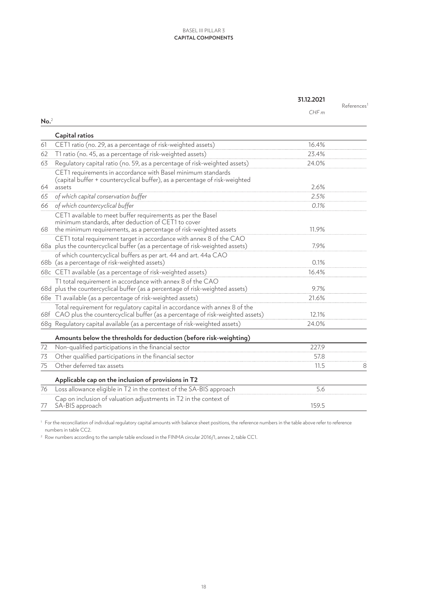|                  |                                                                                                                                                                 | 31.12.2021 |            |
|------------------|-----------------------------------------------------------------------------------------------------------------------------------------------------------------|------------|------------|
|                  |                                                                                                                                                                 | CHFm       | References |
| No. <sup>2</sup> |                                                                                                                                                                 |            |            |
|                  | Capital ratios                                                                                                                                                  |            |            |
| 61               | CET1 ratio (no. 29, as a percentage of risk-weighted assets)                                                                                                    | 16.4%      |            |
| 62               | T1 ratio (no. 45, as a percentage of risk-weighted assets)                                                                                                      | 23.4%      |            |
| 63               | Regulatory capital ratio (no. 59, as a percentage of risk-weighted assets)                                                                                      | 24.0%      |            |
|                  | CET1 requirements in accordance with Basel minimum standards<br>(capital buffer + countercyclical buffer), as a percentage of risk-weighted                     | 2.6%       |            |
| 64               | assets                                                                                                                                                          | 2.5%       |            |
| 65               | of which capital conservation buffer<br>of which countercyclical buffer                                                                                         | 0.1%       |            |
| 66               |                                                                                                                                                                 |            |            |
|                  | CET1 available to meet buffer requirements as per the Basel<br>minimum standards, after deduction of CET1 to cover                                              |            |            |
|                  | 68 the minimum requirements, as a percentage of risk-weighted assets                                                                                            | 11.9%      |            |
|                  | CET1 total requirement target in accordance with annex 8 of the CAO<br>68a plus the countercyclical buffer (as a percentage of risk-weighted assets)            | 7.9%       |            |
|                  | of which countercyclical buffers as per art. 44 and art. 44a CAO<br>68b (as a percentage of risk-weighted assets)                                               | 0.1%       |            |
|                  | 68c CET1 available (as a percentage of risk-weighted assets)                                                                                                    | 16.4%      |            |
|                  | T1 total requirement in accordance with annex 8 of the CAO<br>68d plus the countercyclical buffer (as a percentage of risk-weighted assets)                     | 9.7%       |            |
|                  | 68e T1 available (as a percentage of risk-weighted assets)                                                                                                      | 21.6%      |            |
|                  | Total requirement for regulatory capital in accordance with annex 8 of the<br>68f CAO plus the countercyclical buffer (as a percentage of risk-weighted assets) | 12.1%      |            |
|                  | 68q Requlatory capital available (as a percentage of risk-weighted assets)                                                                                      | 24.0%      |            |
|                  | Amounts below the thresholds for deduction (before risk-weighting)                                                                                              |            |            |
| 72               | Non-qualified participations in the financial sector                                                                                                            | 227.9      |            |
| 73               | Other qualified participations in the financial sector                                                                                                          | 57.8       |            |
| 75               | Other deferred tax assets                                                                                                                                       | 11.5       | 8          |
|                  | Applicable cap on the inclusion of provisions in T2                                                                                                             |            |            |
| 76               | Loss allowance eligible in T2 in the context of the SA-BIS approach                                                                                             | 5.6        |            |
| 77               | Cap on inclusion of valuation adjustments in T2 in the context of<br>SA-BIS approach                                                                            | 159.5      |            |

<sup>1</sup> For the reconciliation of individual regulatory capital amounts with balance sheet positions, the reference numbers in the table above refer to reference numbers in table CC2.

 $^{\rm 2}$  Row numbers according to the sample table enclosed in the FINMA circular 2016/1, annex 2, table CC1.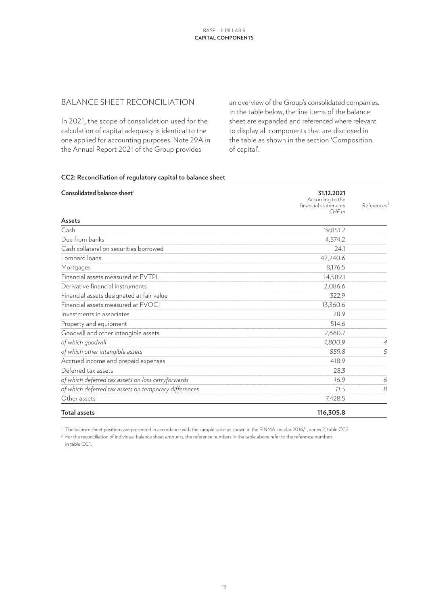### BALANCE SHEET RECONCILIATION

In 2021, the scope of consolidation used for the calculation of capital adequacy is identical to the one applied for accounting purposes. Note 29A in the Annual Report 2021 of the Group provides

an overview of the Group's consolidated companies. In the table below, the line items of the balance sheet are expanded and referenced where relevant to display all components that are disclosed in the table as shown in the section 'Composition of capital'.

#### **CC2: Reconciliation of regulatory capital to balance sheet**

| Consolidated balance sheet <sup>1</sup>               | 31.12.2021                   |                         |
|-------------------------------------------------------|------------------------------|-------------------------|
|                                                       | According to the             |                         |
|                                                       | financial statements<br>CHFm | References <sup>2</sup> |
| Assets                                                |                              |                         |
| Cash                                                  | 19,851.2                     |                         |
| Due from banks                                        | 4,574.2                      |                         |
| Cash collateral on securities borrowed                | 24.1                         |                         |
| Lombard loans                                         | 42,240.6                     |                         |
| Mortgages                                             | 8,176.5                      |                         |
| Financial assets measured at FVTPL                    | 14,589.1                     |                         |
| Derivative financial instruments                      | 2,086.6                      |                         |
| Financial assets designated at fair value             | 322.9                        |                         |
| Financial assets measured at FVOCI                    | 13,360.6                     |                         |
| Investments in associates                             | 28.9                         |                         |
| Property and equipment                                | 514.6                        |                         |
| Goodwill and other intangible assets                  | 2,660.7                      |                         |
| of which goodwill                                     | 1,800.9                      | $\overline{4}$          |
| of which other intangible assets                      | 859.8                        | 5                       |
| Accrued income and prepaid expenses                   | 418.9                        |                         |
| Deferred tax assets                                   | 28.3                         |                         |
| of which deferred tax assets on loss carryforwards    | 16.9                         | 6                       |
| of which deferred tax assets on temporary differences | 11.5                         | 8                       |
| Other assets                                          | 7,428.5                      |                         |
| Total assets                                          | 116,305.8                    |                         |

<sup>1</sup> The balance sheet positions are presented in accordance with the sample table as shown in the FINMA circular 2016/1, annex 2, table CC2.

<sup>2</sup> For the reconciliation of individual balance sheet amounts, the reference numbers in the table above refer to the reference numbers in table CC1.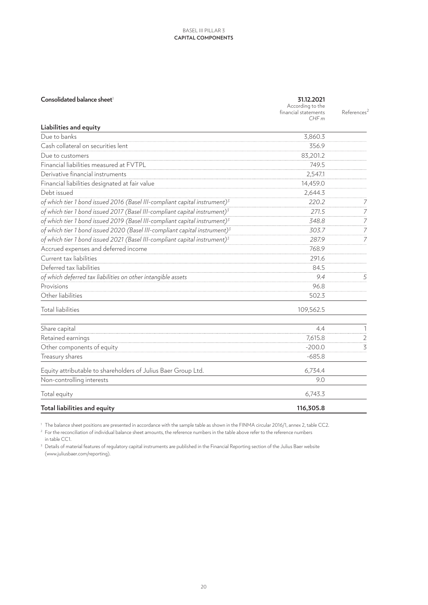| Consolidated balance sheet <sup>1</sup>                                                | 31.12.2021<br>According to the<br>financial statements<br>CHFm | References <sup>2</sup> |
|----------------------------------------------------------------------------------------|----------------------------------------------------------------|-------------------------|
| <b>Liabilities and equity</b>                                                          |                                                                |                         |
| Due to banks                                                                           | 3,860.3                                                        |                         |
| Cash collateral on securities lent                                                     | 356.9                                                          |                         |
| Due to customers                                                                       | 83,201.2                                                       |                         |
| Financial liabilities measured at FVTPL                                                | 749.5                                                          |                         |
| Derivative financial instruments                                                       | 2,547.1                                                        |                         |
| Financial liabilities designated at fair value                                         | 14,459.0                                                       |                         |
| Debt issued                                                                            | 2,644.3                                                        |                         |
| of which tier 1 bond issued 2016 (Basel III-compliant capital instrument) $3$          | 220.2                                                          | 7                       |
| of which tier 1 bond issued 2017 (Basel III-compliant capital instrument) <sup>3</sup> | 271.5                                                          | $\overline{7}$          |
| of which tier 1 bond issued 2019 (Basel III-compliant capital instrument) <sup>3</sup> | 348.8                                                          | $\overline{7}$          |
| of which tier 1 bond issued 2020 (Basel III-compliant capital instrument) <sup>3</sup> | 303.7                                                          | 7                       |
| of which tier 1 bond issued 2021 (Basel III-compliant capital instrument) <sup>3</sup> | 287.9                                                          | 7                       |
| Accrued expenses and deferred income                                                   | 768.9                                                          |                         |
| Current tax liabilities                                                                | 291.6                                                          |                         |
| Deferred tax liabilities                                                               | 84.5                                                           |                         |
| of which deferred tax liabilities on other intangible assets                           | 9.4                                                            | 5                       |
| Provisions                                                                             | 96.8                                                           |                         |
| Other liabilities                                                                      | 502.3                                                          |                         |
| <b>Total liabilities</b>                                                               | 109,562.5                                                      |                         |
| Share capital                                                                          | 4.4                                                            | 1                       |
| Retained earnings                                                                      | 7,615.8                                                        | $\overline{2}$          |
| Other components of equity                                                             | $-200.0$                                                       | $\overline{3}$          |
| Treasury shares                                                                        | $-685.8$                                                       |                         |
| Equity attributable to shareholders of Julius Baer Group Ltd.                          | 6,734.4                                                        |                         |
| Non-controlling interests                                                              | 9.0                                                            |                         |
| Total equity                                                                           | 6,743.3                                                        |                         |
| Total liabilities and equity                                                           | 116,305.8                                                      |                         |

<sup>1</sup> The balance sheet positions are presented in accordance with the sample table as shown in the FINMA circular 2016/1, annex 2, table CC2.

<sup>2</sup> For the reconciliation of individual balance sheet amounts, the reference numbers in the table above refer to the reference numbers in table CC1.

<sup>3</sup> Details of material features of regulatory capital instruments are published in the Financial Reporting section of the Julius Baer website (www.juliusbaer.com/reporting).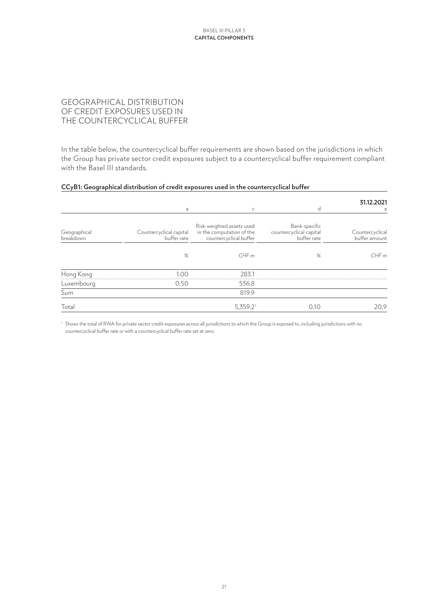## GEOGRAPHICAL DISTRIBUTION OF CREDIT EXPOSURES USED IN THE COUNTERCYCLICAL BUFFER

In the table below, the countercyclical buffer requirements are shown based on the jurisdictions in which the Group has private sector credit exposures subject to a countercyclical buffer requirement compliant with the Basel III standards.

#### **CCyB1: Geographical distribution of credit exposures used in the countercyclical buffer**

|                           | a                                      | C                                                                                | d                                                       | 31.12.2021<br>e                  |
|---------------------------|----------------------------------------|----------------------------------------------------------------------------------|---------------------------------------------------------|----------------------------------|
| Geographical<br>breakdown | Countercyclical capital<br>buffer rate | Risk-weighted assets used<br>in the computation of the<br>countercyclical buffer | Bank-specific<br>countercyclical capital<br>buffer rate | Countercyclical<br>buffer amount |
|                           | %                                      | CHFm                                                                             | %                                                       | CHFm                             |
| Hong Kong                 | 1.00                                   | 283.1                                                                            |                                                         |                                  |
| Luxembourg                | 0.50                                   | 536.8                                                                            |                                                         |                                  |
| Sum                       |                                        | 819.9                                                                            |                                                         |                                  |
| Total                     |                                        | $5,359.2$ <sup>1</sup>                                                           | 0.10                                                    | 20.9                             |

<sup>1</sup> Shows the total of RWA for private sector credit exposures across all jurisdictions to which the Group is exposed to, including jurisdictions with no countercyclical buffer rate or with a countercyclical buffer rate set at zero.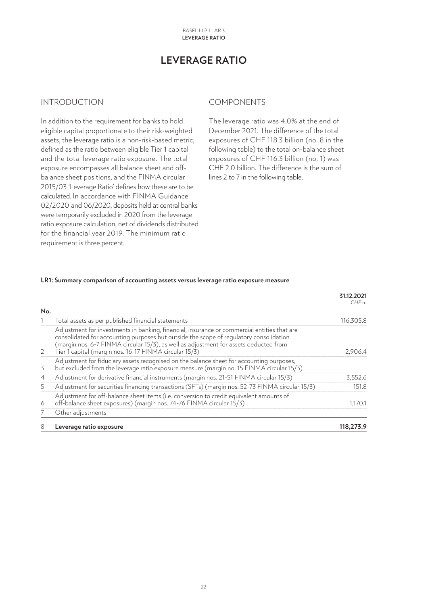# **LEVERAGE RATIO**

### <span id="page-21-0"></span>INTRODUCTION

In addition to the requirement for banks to hold eligible capital proportionate to their risk-weighted assets, the leverage ratio is a non-risk-based metric, defined as the ratio between eligible Tier 1 capital and the total leverage ratio exposure. The total exposure encompasses all balance sheet and offbalance sheet positions, and the FINMA circular 2015/03 'Leverage Ratio' defines how these are to be calculated. In accordance with FINMA Guidance 02/2020 and 06/2020, deposits held at central banks were temporarily excluded in 2020 from the leverage ratio exposure calculation, net of dividends distributed for the financial year 2019. The minimum ratio requirement is three percent.

#### COMPONENTS

The leverage ratio was 4.0% at the end of December 2021. The difference of the total exposures of CHF 118.3 billion (no. 8 in the following table) to the total on-balance sheet exposures of CHF 116.3 billion (no. 1) was CHF 2.0 billion. The difference is the sum of lines 2 to 7 in the following table.

#### **LR1: Summary comparison of accounting assets versus leverage ratio exposure measure**

|                |                                                                                                                                                                                                                                                                                                                                          | 31.12.2021<br>CHFm |
|----------------|------------------------------------------------------------------------------------------------------------------------------------------------------------------------------------------------------------------------------------------------------------------------------------------------------------------------------------------|--------------------|
| No.            |                                                                                                                                                                                                                                                                                                                                          |                    |
|                | Total assets as per published financial statements                                                                                                                                                                                                                                                                                       | 116,305.8          |
| 2              | Adjustment for investments in banking, financial, insurance or commercial entities that are<br>consolidated for accounting purposes but outside the scope of regulatory consolidation<br>(margin nos. 6-7 FINMA circular 15/3), as well as adjustment for assets deducted from<br>Tier 1 capital (margin nos. 16-17 FINMA circular 15/3) | $-2,906.4$         |
| 3              | Adjustment for fiduciary assets recognised on the balance sheet for accounting purposes,<br>but excluded from the leverage ratio exposure measure (margin no. 15 FINMA circular 15/3)                                                                                                                                                    |                    |
| $\overline{4}$ | Adjustment for derivative financial instruments (margin nos. 21-51 FINMA circular 15/3)                                                                                                                                                                                                                                                  | 3,552.6            |
| 5              | Adjustment for securities financing transactions (SFTs) (margin nos. 52-73 FINMA circular 15/3)                                                                                                                                                                                                                                          | 151.8              |
| 6              | Adjustment for off-balance sheet items (i.e. conversion to credit equivalent amounts of<br>off-balance sheet exposures) (margin nos. 74-76 FINMA circular 15/3)                                                                                                                                                                          | 1,170.1            |
|                | Other adjustments                                                                                                                                                                                                                                                                                                                        |                    |
| 8              | Leverage ratio exposure                                                                                                                                                                                                                                                                                                                  | 118,273.9          |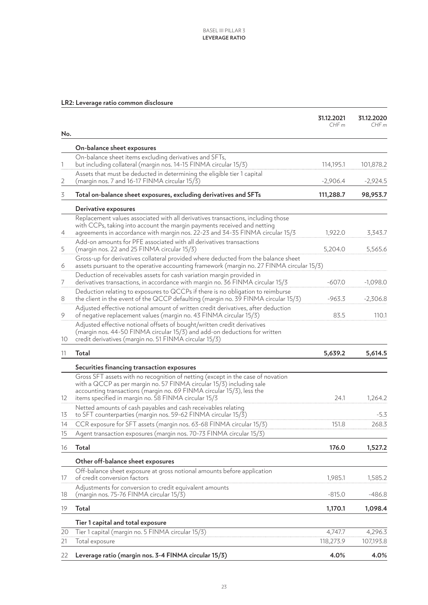#### **LR2: Leverage ratio common disclosure**

|                |                                                                                                                                                                       | 31.12.2021<br>CHFm | 31.12.2020<br>CHFm |
|----------------|-----------------------------------------------------------------------------------------------------------------------------------------------------------------------|--------------------|--------------------|
| No.            |                                                                                                                                                                       |                    |                    |
|                | On-balance sheet exposures                                                                                                                                            |                    |                    |
| 1              | On-balance sheet items excluding derivatives and SFTs,<br>but including collateral (margin nos. 14-15 FINMA circular 15/3)                                            | 114,195.1          | 101,878.2          |
|                | Assets that must be deducted in determining the eligible tier 1 capital                                                                                               |                    |                    |
| $\overline{2}$ | (margin nos. 7 and 16-17 FINMA circular 15/3)                                                                                                                         | $-2,906.4$         | $-2,924.5$         |
| 3              | Total on-balance sheet exposures, excluding derivatives and SFTs                                                                                                      | 111,288.7          | 98,953.7           |
|                | Derivative exposures                                                                                                                                                  |                    |                    |
|                | Replacement values associated with all derivatives transactions, including those                                                                                      |                    |                    |
|                | with CCPs, taking into account the margin payments received and netting<br>agreements in accordance with margin nos. 22-23 and 34-35 FINMA circular 15/3              | 1,922.0            | 3,343.7            |
| 4              | Add-on amounts for PFE associated with all derivatives transactions                                                                                                   |                    |                    |
| 5              | (margin nos. 22 and 25 FINMA circular 15/3)                                                                                                                           | 5,204.0            | 5,565.6            |
|                | Gross-up for derivatives collateral provided where deducted from the balance sheet                                                                                    |                    |                    |
| 6              | assets pursuant to the operative accounting framework (margin no. 27 FINMA circular 15/3)                                                                             |                    |                    |
|                | Deduction of receivables assets for cash variation margin provided in                                                                                                 |                    |                    |
| 7              | derivatives transactions, in accordance with margin no. 36 FINMA circular 15/3                                                                                        | $-607.0$           | $-1,098.0$         |
| 8              | Deduction relating to exposures to QCCPs if there is no obligation to reimburse<br>the client in the event of the QCCP defaulting (margin no. 39 FINMA circular 15/3) | $-963.3$           | $-2,306.8$         |
| 9              | Adjusted effective notional amount of written credit derivatives, after deduction<br>of negative replacement values (margin no. 43 FINMA circular 15/3)               | 83.5               | 110.1              |
|                | Adjusted effective notional offsets of bought/written credit derivatives<br>(margin nos. 44-50 FINMA circular 15/3) and add-on deductions for written                 |                    |                    |
| 10             | credit derivatives (margin no. 51 FINMA circular 15/3)                                                                                                                |                    |                    |
| 11             | Total                                                                                                                                                                 | 5,639.2            | 5,614.5            |
|                | Securities financing transaction exposures                                                                                                                            |                    |                    |
|                | Gross SFT assets with no recognition of netting (except in the case of novation                                                                                       |                    |                    |
|                | with a QCCP as per margin no. 57 FINMA circular 15/3) including sale                                                                                                  |                    |                    |
| 12             | accounting transactions (margin no. 69 FINMA circular 15/3), less the<br>items specified in margin no. 58 FINMA circular 15/3                                         | 24.1               | 1,264.2            |
|                | Netted amounts of cash payables and cash receivables relating                                                                                                         |                    |                    |
| 13             | to SFT counterparties (margin nos. 59-62 FINMA circular 15/3)                                                                                                         |                    | $-5.3$             |
| 14             | CCR exposure for SFT assets (margin nos. 63-68 FINMA circular 15/3)                                                                                                   | 151.8              | 268.3              |
| 15             | Agent transaction exposures (margin nos. 70-73 FINMA circular 15/3)                                                                                                   |                    |                    |
| 16             | Total                                                                                                                                                                 | 176.0              | 1,527.2            |
|                | Other off-balance sheet exposures                                                                                                                                     |                    |                    |
|                | Off-balance sheet exposure at gross notional amounts before application                                                                                               |                    |                    |
| 17             | of credit conversion factors                                                                                                                                          | 1,985.1            | 1,585.2            |
| 18             | Adjustments for conversion to credit equivalent amounts<br>(margin nos. 75-76 FINMA circular 15/3)                                                                    | $-815.0$           | $-486.8$           |
| 19             | Total                                                                                                                                                                 | 1,170.1            | 1,098.4            |
|                |                                                                                                                                                                       |                    |                    |
| 20             | Tier 1 capital and total exposure<br>Tier 1 capital (margin no. 5 FINMA circular 15/3)                                                                                | 4,747.7            | 4,296.3            |
| 21             | Total exposure                                                                                                                                                        | 118,273.9          | 107,193.8          |
|                |                                                                                                                                                                       |                    |                    |
| 22             | Leverage ratio (margin nos. 3-4 FINMA circular 15/3)                                                                                                                  | 4.0%               | 4.0%               |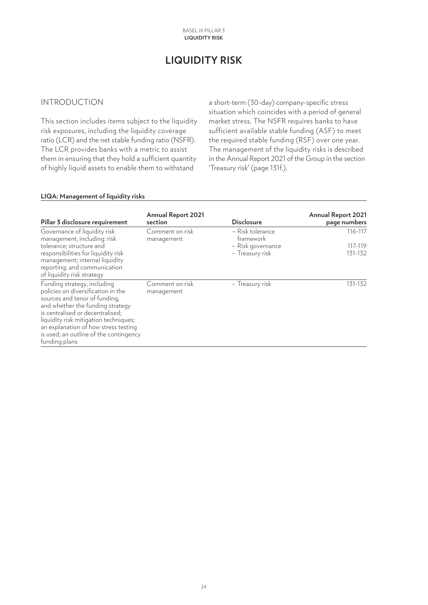# **LIQUIDITY RISK**

### <span id="page-23-0"></span>INTRODUCTION

This section includes items subject to the liquidity risk exposures, including the liquidity coverage ratio (LCR) and the net stable funding ratio (NSFR). The LCR provides banks with a metric to assist them in ensuring that they hold a sufficient quantity of highly liquid assets to enable them to withstand

a short-term (30-day) company-specific stress situation which coincides with a period of general market stress. The NSFR requires banks to have sufficient available stable funding (ASF) to meet the required stable funding (RSF) over one year. The management of the liquidity risks is described in the Annual Report 2021 of the Group in the section 'Treasury risk' (page 131f.).

#### **LIQA: Management of liquidity risks**

| Pillar 3 disclosure requirement                                                                                                                                                                                                                                                                                        | <b>Annual Report 2021</b><br>section | <b>Disclosure</b>             | <b>Annual Report 2021</b><br>page numbers |
|------------------------------------------------------------------------------------------------------------------------------------------------------------------------------------------------------------------------------------------------------------------------------------------------------------------------|--------------------------------------|-------------------------------|-------------------------------------------|
| Governance of liquidity risk<br>management, including: risk                                                                                                                                                                                                                                                            | Comment on risk<br>management        | - Risk tolerance<br>framework | 116-117                                   |
| tolerance; structure and                                                                                                                                                                                                                                                                                               |                                      | - Risk governance             | 117-119                                   |
| responsibilities for liquidity risk<br>management; internal liquidity<br>reporting; and communication<br>of liquidity risk strategy                                                                                                                                                                                    |                                      | - Treasury risk               | 131-132                                   |
| Funding strategy, including<br>policies on diversification in the<br>sources and tenor of funding,<br>and whether the funding strategy<br>is centralised or decentralised;<br>liquidity risk mitigation techniques;<br>an explanation of how stress testing<br>is used; an outline of the contingency<br>funding plans | Comment on risk<br>management        | - Treasury risk               | 131-132                                   |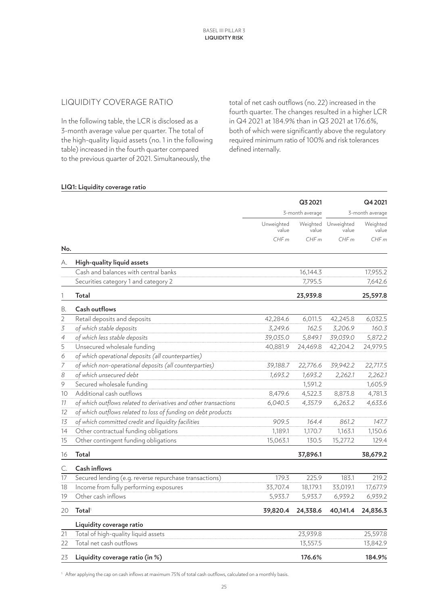### LIQUIDITY COVERAGE RATIO

In the following table, the LCR is disclosed as a 3-month average value per quarter. The total of the high-quality liquid assets (no. 1 in the following table) increased in the fourth quarter compared to the previous quarter of 2021. Simultaneously, the

total of net cash outflows (no. 22) increased in the fourth quarter. The changes resulted in a higher LCR in Q4 2021 at 184.9% than in Q3 2021 at 176.6%, both of which were significantly above the regulatory required minimum ratio of 100% and risk tolerances defined internally.

#### **LIQ1: Liquidity coverage ratio**

|                |                                                                 |                     | Q3 2021         |                              | Q4 2021           |
|----------------|-----------------------------------------------------------------|---------------------|-----------------|------------------------------|-------------------|
|                |                                                                 |                     | 3-month average | 3-month average              |                   |
|                |                                                                 | Unweighted<br>value | value           | Weighted Unweighted<br>value | Weighted<br>value |
|                |                                                                 | CHFm                | CHFm            | CHFm                         | CHFm              |
| No.            |                                                                 |                     |                 |                              |                   |
| А.             | High-quality liquid assets                                      |                     |                 |                              |                   |
|                | Cash and balances with central banks                            |                     | 16,144.3        |                              | 17,955.2          |
|                | Securities category 1 and category 2                            |                     | 7,795.5         |                              | 7,642.6           |
| 1              | Total                                                           |                     | 23,939.8        |                              | 25,597.8          |
| В.             | Cash outflows                                                   |                     |                 |                              |                   |
| $\overline{2}$ | Retail deposits and deposits                                    | 42,284.6            | 6,011.5         | 42,245.8                     | 6,032.5           |
| 3              | of which stable deposits                                        | 3,249.6             | 162.5           | 3,206.9                      | 160.3             |
| $\overline{4}$ | of which less stable deposits                                   | 39,035.0            | 5,849.1         | 39,039.0                     | 5,872.2           |
| 5              | Unsecured wholesale funding                                     | 40,881.9            | 24,469.8        | 42,204.2                     | 24,979.5          |
| 6              | of which operational deposits (all counterparties)              |                     |                 |                              |                   |
| $\overline{7}$ | of which non-operational deposits (all counterparties)          | 39,188.7            | 22,776.6        | 39,942.2                     | 22,717.5          |
| 8              | of which unsecured debt                                         | 1,693.2             | 1,693.2         | 2,262.1                      | 2,262.1           |
| 9              | Secured wholesale funding                                       |                     | 1,591.2         |                              | 1,605.9           |
| 10             | Additional cash outflows                                        | 8,479.6             | 4,522.3         | 8,873.8                      | 4,781.3           |
| 11             | of which outflows related to derivatives and other transactions | 6,040.5             | 4,357.9         | 6,263.2                      | 4,633.6           |
| 12             | of which outflows related to loss of funding on debt products   |                     |                 |                              |                   |
| 13             | of which committed credit and liquidity facilities              | 909.5               | 164.4           | 861.2                        | 147.7             |
| 14             | Other contractual funding obligations                           | 1,189.1             | 1,170.7         | 1,163.1                      | 1,150.6           |
| 15             | Other contingent funding obligations                            | 15,063.1            | 130.5           | 15,277.2                     | 129.4             |
| 16             | <b>Total</b>                                                    |                     | 37,896.1        |                              | 38,679.2          |
| C.             | <b>Cash inflows</b>                                             |                     |                 |                              |                   |
| 17             | Secured lending (e.g. reverse repurchase transactions)          | 179.3               | 225.9           | 183.1                        | 219.2             |
| 18             | Income from fully performing exposures                          | 33,707.4            | 18,179.1        | 33,019.1                     | 17,677.9          |
| 19             | Other cash inflows                                              | 5,933.7             | 5,933.7         | 6,939.2                      | 6,939.2           |
| 20             | Total <sup>1</sup>                                              | 39,820.4            | 24,338.6        | 40,141.4                     | 24,836.3          |
|                | Liquidity coverage ratio                                        |                     |                 |                              |                   |
| 21             | Total of high-quality liquid assets                             |                     | 23,939.8        |                              | 25,597.8          |
| 22             | Total net cash outflows                                         |                     | 13,557.5        |                              | 13,842.9          |
| 23             | Liquidity coverage ratio (in %)                                 |                     | 176.6%          |                              | 184.9%            |

<sup>1</sup> After applying the cap on cash inflows at maximum 75% of total cash outflows, calculated on a monthly basis.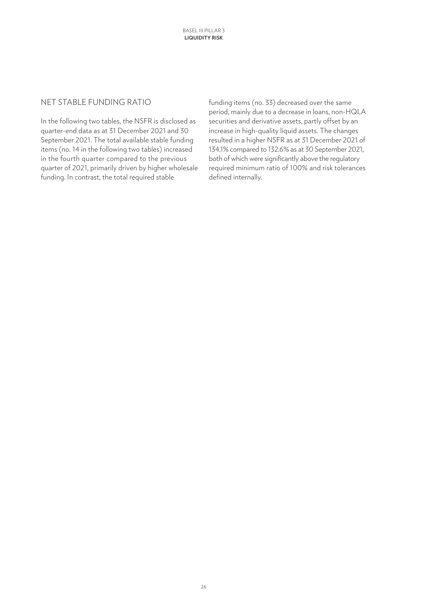#### NET STABLE FUNDING RATIO

In the following two tables, the NSFR is disclosed as quarter-end data as at 31 December 2021 and 30 September 2021. The total available stable funding items (no. 14 in the following two tables) increased in the fourth quarter compared to the previous quarter of 2021, primarily driven by higher wholesale funding. In contrast, the total required stable

funding items (no. 33) decreased over the same period, mainly due to a decrease in loans, non-HQLA securities and derivative assets, partly offset by an increase in high-quality liquid assets. The changes resulted in a higher NSFR as at 31 December 2021 of 134.1% compared to 132.6% as at 30 September 2021, both of which were significantly above the regulatory required minimum ratio of 100% and risk tolerances defined internally.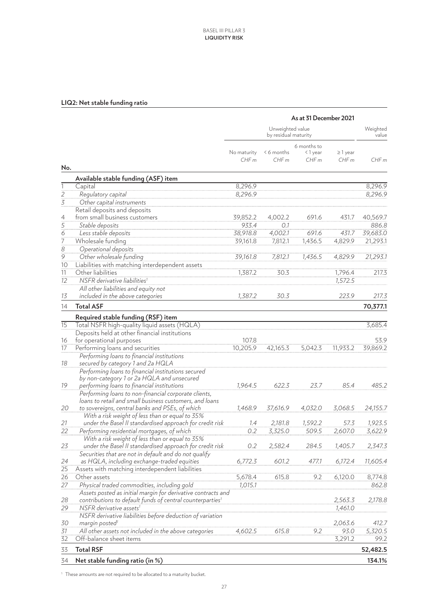# **LIQ2: Net stable funding ratio**

|                                                         |                                                                                                             | As at 31 December 2021 |                                          |                                |                       |                   |
|---------------------------------------------------------|-------------------------------------------------------------------------------------------------------------|------------------------|------------------------------------------|--------------------------------|-----------------------|-------------------|
|                                                         |                                                                                                             |                        | Unweighted value<br>by residual maturity |                                |                       | Weighted<br>value |
| No.                                                     |                                                                                                             | No maturity<br>CHFm    | < 6 months<br>CHFm                       | 6 months to<br><1 year<br>CHFm | $\geq$ 1 year<br>CHFm | CHFm              |
|                                                         | Available stable funding (ASF) item                                                                         |                        |                                          |                                |                       |                   |
| $\mathbf{1}$                                            | Capital                                                                                                     | 8,296.9                |                                          |                                |                       | 8,296.9           |
|                                                         | Regulatory capital                                                                                          | 8,296.9                |                                          |                                |                       | 8,296.9           |
| $\frac{2}{3}$                                           | Other capital instruments                                                                                   |                        |                                          |                                |                       |                   |
|                                                         | Retail deposits and deposits                                                                                |                        |                                          |                                |                       |                   |
|                                                         | from small business customers                                                                               | 39,852.2               | 4,002.2                                  | 691.6                          | 431.7                 | 40,569.7          |
| $\frac{4}{5}$ $\frac{5}{6}$ $\frac{7}{7}$ $\frac{8}{9}$ | Stable deposits                                                                                             | 933.4                  | 0.1                                      |                                |                       | 886.8             |
|                                                         | Less stable deposits                                                                                        | 38,918.8               | 4,002.1                                  | 691.6                          | 431.7                 | 39,683.0          |
|                                                         | Wholesale funding                                                                                           | 39,161.8               | 7,812.1                                  | 1,436.5                        | 4,829.9               | 21,293.1          |
|                                                         | Operational deposits                                                                                        |                        |                                          |                                |                       |                   |
|                                                         | Other wholesale funding                                                                                     | 39,161.8               | 7,812.1                                  | 1,436.5                        | 4,829.9               | 21,293.1          |
| 10                                                      | Liabilities with matching interdependent assets                                                             |                        |                                          |                                |                       |                   |
| 11                                                      | Other liabilities                                                                                           | 1,387.2                | 30.3                                     |                                | 1,796.4               | 217.3             |
| 12                                                      | NSFR derivative liabilities <sup>1</sup>                                                                    |                        |                                          |                                | 1,572.5               |                   |
|                                                         | All other liabilities and equity not                                                                        |                        |                                          |                                |                       |                   |
| 13                                                      | included in the above categories                                                                            | 1,387.2                | 30.3                                     |                                | 223.9                 | 217.3             |
| 14                                                      | <b>Total ASF</b>                                                                                            |                        |                                          |                                |                       | 70,377.1          |
|                                                         |                                                                                                             |                        |                                          |                                |                       |                   |
|                                                         | Required stable funding (RSF) item                                                                          |                        |                                          |                                |                       |                   |
| 15                                                      | Total NSFR high-quality liquid assets (HQLA)                                                                |                        |                                          |                                |                       | 3,685.4           |
| 16                                                      | Deposits held at other financial institutions<br>for operational purposes                                   | 107.8                  |                                          |                                |                       | 53.9              |
| 17                                                      | Performing loans and securities                                                                             | 10,205.9               | 42,165.3                                 | 5,042.3                        | 11,933.2              | 39,869.2          |
|                                                         | Performing loans to financial institutions                                                                  |                        |                                          |                                |                       |                   |
| 18                                                      | secured by category 1 and 2a HQLA                                                                           |                        |                                          |                                |                       |                   |
|                                                         | Performing loans to financial institutions secured                                                          |                        |                                          |                                |                       |                   |
|                                                         | by non-category 1 or 2a HQLA and unsecured                                                                  |                        |                                          |                                |                       |                   |
| 19                                                      | performing loans to financial institutions                                                                  | 1,964.5                | 622.3                                    | 23.7                           | 85.4                  | 485.2             |
|                                                         | Performing loans to non-financial corporate clients,                                                        |                        |                                          |                                |                       |                   |
|                                                         | loans to retail and small business customers, and loans                                                     |                        |                                          |                                |                       |                   |
| 20                                                      | to sovereigns, central banks and PSEs, of which                                                             | 1,468.9                | 37,616.9                                 | 4,032.0                        | 3,068.5               | 24,155.7          |
|                                                         | With a risk weight of less than or equal to 35%                                                             |                        |                                          |                                |                       |                   |
| 21                                                      | under the Basel II standardised approach for credit risk                                                    | 1.4                    | 2,181.8                                  | 1,592.2                        | 57.3                  | 1,923.5           |
| 22                                                      | Performing residential mortgages, of which                                                                  | 0.2                    | 3,325.0                                  | 509.5                          | 2,607.0               | 3,622.9           |
|                                                         | With a risk weight of less than or equal to 35%                                                             |                        |                                          |                                |                       |                   |
| 23                                                      | under the Basel II standardised approach for credit risk                                                    | 0.2                    | 2,582.4                                  | 284.5                          | 1,405.7               | 2,347.3           |
|                                                         | Securities that are not in default and do not qualify                                                       |                        |                                          |                                |                       |                   |
| 24                                                      | as HQLA, including exchange-traded equities                                                                 | 6,772.3                | 601.2                                    | 477.1                          | 6,172.4               | 11,605.4          |
| 25                                                      | Assets with matching interdependent liabilities<br>Other assets                                             |                        |                                          |                                |                       |                   |
| 26                                                      |                                                                                                             | 5,678.4                | 615.8                                    | 9.2                            | 6,120.0               | 8,774.8           |
| 27                                                      | Physical traded commodities, including gold<br>Assets posted as initial margin for derivative contracts and | 1,015.1                |                                          |                                |                       | 862.8             |
| 28                                                      | contributions to default funds of central counterparties <sup>1</sup>                                       |                        |                                          |                                | 2,563.3               | 2,178.8           |
| 29                                                      | NSFR derivative assets <sup>1</sup>                                                                         |                        |                                          |                                | 1,461.0               |                   |
|                                                         | NSFR derivative liabilities before deduction of variation                                                   |                        |                                          |                                |                       |                   |
| 30                                                      | margin posted <sup>1</sup>                                                                                  |                        |                                          |                                | 2,063.6               | 412.7             |
| 31                                                      | All other assets not included in the above categories                                                       | 4,602.5                | 615.8                                    | 9.2                            | 93.0                  | 5,320.5           |
| 32                                                      | Off-balance sheet items                                                                                     |                        |                                          |                                | 3,291.2               | 99.2              |
|                                                         | <b>Total RSF</b>                                                                                            |                        |                                          |                                |                       |                   |
| 33                                                      |                                                                                                             |                        |                                          |                                |                       | 52,482.5          |
| 34                                                      | Net stable funding ratio (in %)                                                                             |                        |                                          |                                |                       | 134.1%            |

<sup>1</sup> These amounts are not required to be allocated to a maturity bucket.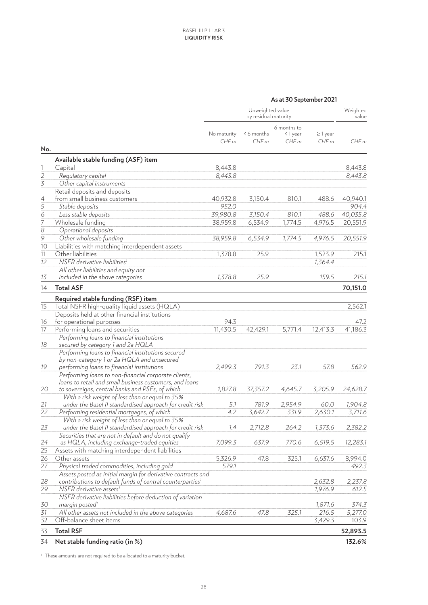| As at 30 September 2021 |
|-------------------------|
|                         |

|                             | Unweighted value<br>by residual maturity                                                                        |                     |                    |                                |                       | Weighted<br>value |
|-----------------------------|-----------------------------------------------------------------------------------------------------------------|---------------------|--------------------|--------------------------------|-----------------------|-------------------|
| No.                         |                                                                                                                 | No maturity<br>CHFm | < 6 months<br>CHFm | 6 months to<br><1 year<br>CHFm | $\geq$ 1 year<br>CHFm | CHFm              |
|                             | Available stable funding (ASF) item                                                                             |                     |                    |                                |                       |                   |
| 1                           | Capital                                                                                                         | 8,443.8             |                    |                                |                       | 8,443.8           |
|                             | Regulatory capital                                                                                              | 8,443.8             |                    |                                |                       | 8,443.8           |
| $\frac{2}{3}$               | Other capital instruments                                                                                       |                     |                    |                                |                       |                   |
|                             | Retail deposits and deposits                                                                                    |                     |                    |                                |                       |                   |
| 4                           | from small business customers                                                                                   | 40,932.8            | 3,150.4            | 810.1                          | 488.6                 | 40,940.1          |
| $\frac{5}{6}$ $\frac{6}{7}$ | Stable deposits                                                                                                 | 952.0               |                    |                                |                       | 904.4             |
|                             | Less stable deposits                                                                                            | 39,980.8            | 3,150.4            | 810.1                          | 488.6                 | 40,035.8          |
|                             | Wholesale funding                                                                                               | 38,959.8            | 6,534.9            | 1,774.5                        | 4,976.5               | 20,551.9          |
| $\frac{8}{9}$               | Operational deposits                                                                                            |                     |                    |                                |                       |                   |
|                             | Other wholesale funding                                                                                         | 38,959.8            | 6,534.9            | 1,774.5                        | 4,976.5               | 20,551.9          |
| 10                          | Liabilities with matching interdependent assets                                                                 |                     |                    |                                |                       |                   |
| 11                          | Other liabilities                                                                                               | 1,378.8             | 25.9               |                                | 1,523.9               | 215.1             |
| 12                          | NSFR derivative liabilities <sup>1</sup>                                                                        |                     |                    |                                | 1,364.4               |                   |
|                             | All other liabilities and equity not                                                                            |                     |                    |                                |                       |                   |
| 13                          | included in the above categories                                                                                | 1,378.8             | 25.9               |                                | 159.5                 | 215.1             |
| 14                          | <b>Total ASF</b>                                                                                                |                     |                    |                                |                       | 70,151.0          |
|                             | Required stable funding (RSF) item                                                                              |                     |                    |                                |                       |                   |
| 15                          | Total NSFR high-quality liquid assets (HQLA)                                                                    |                     |                    |                                |                       | 2,562.1           |
|                             | Deposits held at other financial institutions                                                                   |                     |                    |                                |                       |                   |
| 16                          | for operational purposes                                                                                        | 94.3                |                    |                                |                       | 47.2              |
| 17                          | Performing loans and securities                                                                                 | 11,430.5            | 42,429.1           | 5,771.4                        | 12,413.3              | 41,186.3          |
| 18                          | Performing loans to financial institutions<br>secured by category 1 and 2a HQLA                                 |                     |                    |                                |                       |                   |
|                             | Performing loans to financial institutions secured<br>by non-category 1 or 2a HQLA and unsecured                |                     |                    |                                |                       |                   |
| 19                          | performing loans to financial institutions                                                                      | 2,499.3             | 791.3              | 23.1                           | 57.8                  | 562.9             |
|                             | Performing loans to non-financial corporate clients,<br>loans to retail and small business customers, and loans |                     |                    |                                |                       |                   |
| 20                          | to sovereigns, central banks and PSEs, of which                                                                 | 1,827.8             | 37,357.2           | 4,645.7                        | 3,205.9               | 24,628.7          |
|                             | With a risk weight of less than or equal to 35%                                                                 |                     |                    |                                |                       |                   |
| 21                          | under the Basel II standardised approach for credit risk                                                        | 5.1                 | 781.9              | 2,954.9                        | 60.0                  | 1,904.8           |
| $\overline{22}$             | Performing residential mortgages, of which                                                                      | 4.2                 | 3,642.7            | 331.9                          | 2,630.1               | 3,711.6           |
|                             | With a risk weight of less than or equal to 35%                                                                 |                     |                    |                                |                       |                   |
| 23                          | under the Basel II standardised approach for credit risk                                                        | 1.4                 | 2,712.8            | 264.2                          | 1,373.6               | 2,382.2           |
|                             | Securities that are not in default and do not qualify                                                           |                     |                    |                                |                       |                   |
| 24                          | as HQLA, including exchange-traded equities                                                                     | 7,099.3             | 637.9              | 770.6                          | 6,519.5               | 12,283.1          |
| 25                          | Assets with matching interdependent liabilities                                                                 |                     |                    |                                |                       |                   |
| 26                          | Other assets                                                                                                    | 5,326.9             | 47.8               | 325.1                          | 6,637.6               | 8,994.0           |
| 27                          | Physical traded commodities, including gold                                                                     | 579.1               |                    |                                |                       | 492.3             |
|                             | Assets posted as initial margin for derivative contracts and                                                    |                     |                    |                                |                       |                   |
| 28                          | contributions to default funds of central counterparties <sup>1</sup><br>NSFR derivative assets <sup>1</sup>    |                     |                    |                                | 2,632.8<br>1,976.9    | 2,237.8           |
| 29                          | NSFR derivative liabilities before deduction of variation                                                       |                     |                    |                                |                       | 612.5             |
| 30                          | margin posted <sup>1</sup>                                                                                      |                     |                    |                                | 1,871.6               | 374.3             |
| 31                          | All other assets not included in the above categories                                                           | 4,687.6             | 47.8               | 325.1                          | 216.5                 | 5,277.0           |
| 32                          | Off-balance sheet items                                                                                         |                     |                    |                                | 3,429.3               | 103.9             |
|                             | <b>Total RSF</b>                                                                                                |                     |                    |                                |                       |                   |
| 33                          |                                                                                                                 |                     |                    |                                |                       | 52,893.5          |
| 34                          | Net stable funding ratio (in %)                                                                                 |                     |                    |                                |                       | 132.6%            |

<sup>1</sup> These amounts are not required to be allocated to a maturity bucket.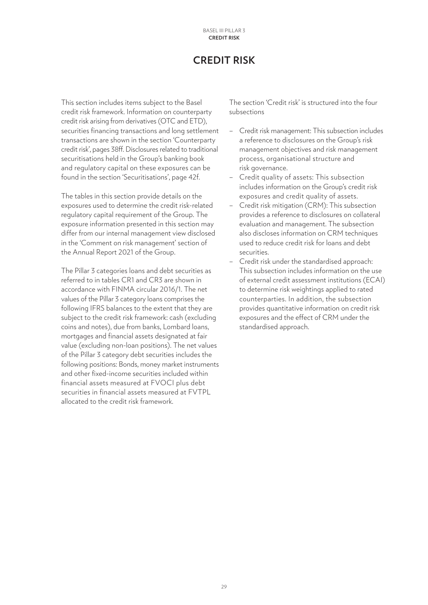# **CREDIT RISK**

<span id="page-28-0"></span>This section includes items subject to the Basel credit risk framework. Information on counterparty credit risk arising from derivatives (OTC and ETD), securities financing transactions and long settlement transactions are shown in the section 'Counterparty credit risk', pages 38ff. Disclosures related to traditional securitisations held in the Group's banking book and regulatory capital on these exposures can be found in the section 'Securitisations', page 42f.

The tables in this section provide details on the exposures used to determine the credit risk-related regulatory capital requirement of the Group. The exposure information presented in this section may differ from our internal management view disclosed in the 'Comment on risk management' section of the Annual Report 2021 of the Group.

The Pillar 3 categories loans and debt securities as referred to in tables CR1 and CR3 are shown in accordance with FINMA circular 2016/1. The net values of the Pillar 3 category loans comprises the following IFRS balances to the extent that they are subject to the credit risk framework: cash (excluding coins and notes), due from banks, Lombard loans, mortgages and financial assets designated at fair value (excluding non-loan positions). The net values of the Pillar 3 category debt securities includes the following positions: Bonds, money market instruments and other fixed-income securities included within financial assets measured at FVOCI plus debt securities in financial assets measured at FVTPL allocated to the credit risk framework.

The section 'Credit risk' is structured into the four subsections

- Credit risk management: This subsection includes a reference to disclosures on the Group's risk management objectives and risk management process, organisational structure and risk governance.
- Credit quality of assets: This subsection includes information on the Group's credit risk exposures and credit quality of assets.
- Credit risk mitigation (CRM): This subsection provides a reference to disclosures on collateral evaluation and management. The subsection also discloses information on CRM techniques used to reduce credit risk for loans and debt securities.
- Credit risk under the standardised approach: This subsection includes information on the use of external credit assessment institutions (ECAI) to determine risk weightings applied to rated counterparties. In addition, the subsection provides quantitative information on credit risk exposures and the effect of CRM under the standardised approach.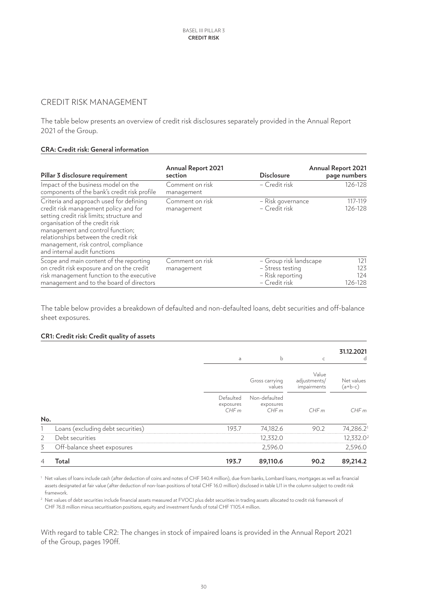# CREDIT RISK MANAGEMENT

The table below presents an overview of credit risk disclosures separately provided in the Annual Report 2021 of the Group.

#### **CRA: Credit risk: General information**

| Pillar 3 disclosure requirement                                                                                                                                                                                                                                                                                       | <b>Annual Report 2021</b><br>section | <b>Disclosure</b>                                                               | <b>Annual Report 2021</b><br>page numbers |
|-----------------------------------------------------------------------------------------------------------------------------------------------------------------------------------------------------------------------------------------------------------------------------------------------------------------------|--------------------------------------|---------------------------------------------------------------------------------|-------------------------------------------|
| Impact of the business model on the<br>components of the bank's credit risk profile                                                                                                                                                                                                                                   | Comment on risk<br>management        | - Credit risk                                                                   | 126-128                                   |
| Criteria and approach used for defining<br>credit risk management policy and for<br>setting credit risk limits; structure and<br>organisation of the credit risk<br>management and control function;<br>relationships between the credit risk<br>management, risk control, compliance<br>and internal audit functions | Comment on risk<br>management        | - Risk governance<br>- Credit risk                                              | 117-119<br>126-128                        |
| Scope and main content of the reporting<br>on credit risk exposure and on the credit<br>risk management function to the executive<br>management and to the board of directors                                                                                                                                         | Comment on risk<br>management        | - Group risk landscape<br>- Stress testing<br>- Risk reporting<br>- Credit risk | 121<br>123<br>124<br>126-128              |

The table below provides a breakdown of defaulted and non-defaulted loans, debt securities and off-balance sheet exposures.

#### **CR1: Credit risk: Credit quality of assets**

|     |                                   | a                              | b                                  | C                                    | 31.12.2021<br>d         |
|-----|-----------------------------------|--------------------------------|------------------------------------|--------------------------------------|-------------------------|
|     |                                   |                                | Gross carrying<br>values           | Value<br>adjustments/<br>impairments | Net values<br>$(a+b-c)$ |
|     |                                   | Defaulted<br>exposures<br>CHFm | Non-defaulted<br>exposures<br>CHFm | CHFm                                 | CHFm                    |
| No. |                                   |                                |                                    |                                      |                         |
|     | Loans (excluding debt securities) | 193.7                          | 74,182.6                           | 90.2                                 | 74,286.21               |
| 2   | Debt securities                   |                                | 12,332.0                           |                                      | 12,332.0 <sup>2</sup>   |
| 3   | Off-balance sheet exposures       |                                | 2,596.0                            |                                      | 2,596.0                 |
| 4   | Total                             | 193.7                          | 89,110.6                           | 90.2                                 | 89,214.2                |

<sup>1</sup> Net values of loans include cash (after deduction of coins and notes of CHF 340.4 million), due from banks, Lombard loans, mortgages as well as financial assets designated at fair value (after deduction of non-loan positions of total CHF 16.0 million) disclosed in table LI1 in the column subject to credit risk framework.

<sup>2</sup> Net values of debt securities include financial assets measured at FVOCI plus debt securities in trading assets allocated to credit risk framework of CHF 76.8 million minus securitisation positions, equity and investment funds of total CHF 1'105.4 million.

With regard to table CR2: The changes in stock of impaired loans is provided in the Annual Report 2021 of the Group, pages 190ff.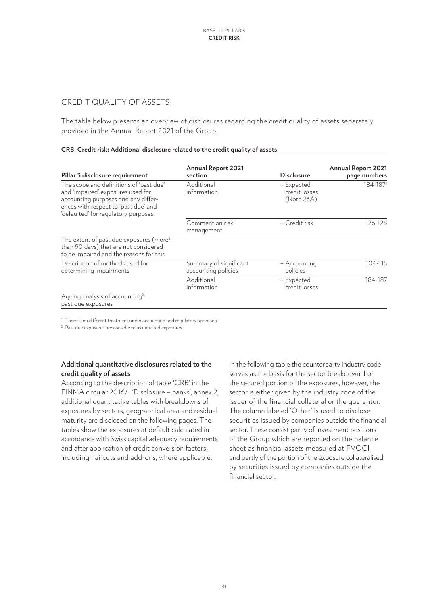### CREDIT QUALITY OF ASSETS

The table below presents an overview of disclosures regarding the credit quality of assets separately provided in the Annual Report 2021 of the Group.

#### **CRB: Credit risk: Additional disclosure related to the credit quality of assets**

| Pillar 3 disclosure requirement                                                                                                                                                                    | <b>Annual Report 2021</b><br>section          | <b>Disclosure</b>                         | <b>Annual Report 2021</b><br>page numbers |
|----------------------------------------------------------------------------------------------------------------------------------------------------------------------------------------------------|-----------------------------------------------|-------------------------------------------|-------------------------------------------|
| The scope and definitions of 'past due'<br>and 'impaired' exposures used for<br>accounting purposes and any differ-<br>ences with respect to 'past due' and<br>'defaulted' for regulatory purposes | Additional<br>information                     | - Expected<br>credit losses<br>(Note 26A) | 184-1871                                  |
|                                                                                                                                                                                                    | Comment on risk<br>management                 | - Credit risk                             | 126-128                                   |
| The extent of past due exposures (more <sup>2</sup><br>than 90 days) that are not considered<br>to be impaired and the reasons for this                                                            |                                               |                                           |                                           |
| Description of methods used for<br>determining impairments                                                                                                                                         | Summary of significant<br>accounting policies | - Accounting<br>policies                  | 104-115                                   |
|                                                                                                                                                                                                    | Additional<br>information                     | - Expected<br>credit losses               | 184-187                                   |
| Ageing analysis of accounting <sup>2</sup><br>past due exposures                                                                                                                                   |                                               |                                           |                                           |

<sup>1</sup> There is no different treatment under accounting and regulatory approach.

<sup>2</sup> Past due exposures are considered as impaired exposures.

#### **Additional quantitative disclosures related to the credit quality of assets**

According to the description of table 'CRB' in the FINMA circular 2016/1 'Disclosure – banks', annex 2, additional quantitative tables with breakdowns of exposures by sectors, geographical area and residual maturity are disclosed on the following pages. The tables show the exposures at default calculated in accordance with Swiss capital adequacy requirements and after application of credit conversion factors, including haircuts and add-ons, where applicable.

In the following table the counterparty industry code serves as the basis for the sector breakdown. For the secured portion of the exposures, however, the sector is either given by the industry code of the issuer of the financial collateral or the guarantor. The column labeled 'Other' is used to disclose securities issued by companies outside the financial sector. These consist partly of investment positions of the Group which are reported on the balance sheet as financial assets measured at FVOCI and partly of the portion of the exposure collateralised by securities issued by companies outside the financial sector.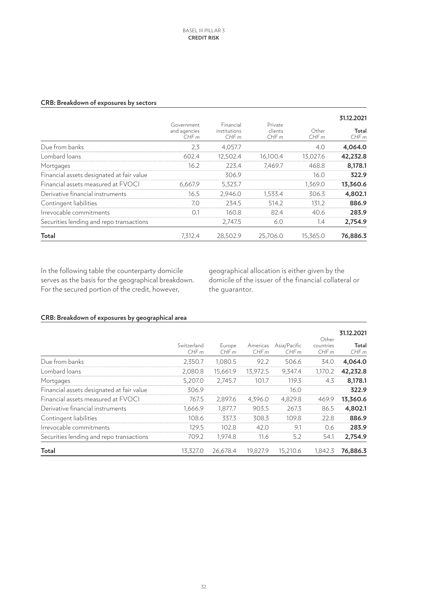#### **CRB: Breakdown of exposures by sectors**

|                                           |                                    |                                   |                            |               | 31.12.2021    |
|-------------------------------------------|------------------------------------|-----------------------------------|----------------------------|---------------|---------------|
|                                           | Government<br>and agencies<br>CHFm | Financial<br>institutions<br>CHFm | Private<br>clients<br>CHFm | Other<br>CHFm | Total<br>CHFm |
| Due from banks                            | 2.3                                | 4,057.7                           |                            | 4.0           | 4,064.0       |
| Lombard loans                             | 602.4                              | 12,502.4                          | 16,100.4                   | 13,027.6      | 42,232.8      |
| Mortgages                                 | 16.2                               | 223.4                             | 7,469.7                    | 468.8         | 8,178.1       |
| Financial assets designated at fair value |                                    | 306.9                             |                            | 16.0          | 322.9         |
| Financial assets measured at FVOCI        | 6,667.9                            | 5,323.7                           |                            | 1,369.0       | 13,360.6      |
| Derivative financial instruments          | 16.5                               | 2,946.0                           | 1,533.4                    | 306.3         | 4,802.1       |
| Contingent liabilities                    | 7.0                                | 234.5                             | 514.2                      | 131.2         | 886.9         |
| Irrevocable commitments                   | 0.1                                | 160.8                             | 82.4                       | 40.6          | 283.9         |
| Securities lending and repo transactions  |                                    | 2,747.5                           | 6.0                        | 1.4           | 2,754.9       |
| Total                                     | 7.312.4                            | 28,502.9                          | 25,706.0                   | 15,365.0      | 76,886.3      |

In the following table the counterparty domicile serves as the basis for the geographical breakdown. For the secured portion of the credit, however,

geographical allocation is either given by the domicile of the issuer of the financial collateral or the guarantor.

## **CRB: Breakdown of exposures by geographical area**

|                                           |                     |                |                  |                      |                            | 31.12.2021    |
|-------------------------------------------|---------------------|----------------|------------------|----------------------|----------------------------|---------------|
|                                           | Switzerland<br>CHFm | Europe<br>CHFm | Americas<br>CHFm | Asia/Pacific<br>CHFm | Other<br>countries<br>CHFm | Total<br>CHFm |
| Due from banks                            | 2,350.7             | 1,080.5        | 92.2             | 506.6                | 34.0                       | 4,064.0       |
| Lombard loans                             | 2,080.8             | 15,661.9       | 13,972.5         | 9,347.4              | 1,170.2                    | 42,232.8      |
| Mortgages                                 | 5,207.0             | 2,745.7        | 101.7            | 119.3                | 4.3                        | 8,178.1       |
| Financial assets designated at fair value | 306.9               |                |                  | 16.0                 |                            | 322.9         |
| Financial assets measured at FVOCI        | 767.5               | 2,897.6        | 4,396.0          | 4,829.8              | 469.9                      | 13,360.6      |
| Derivative financial instruments          | 1,666.9             | 1,877.7        | 903.5            | 267.3                | 86.5                       | 4,802.1       |
| Contingent liabilities                    | 108.6               | 337.3          | 308.3            | 109.8                | 22.8                       | 886.9         |
| Irrevocable commitments                   | 129.5               | 102.8          | 42.0             | 9.1                  | 0.6                        | 283.9         |
| Securities lending and repo transactions  | 709.2               | 1,974.8        | 11.6             | 5.2                  | 54.1                       | 2,754.9       |
| Total                                     | 13,327.0            | 26,678.4       | 19,827.9         | 15.210.6             | 1.842.3                    | 76,886.3      |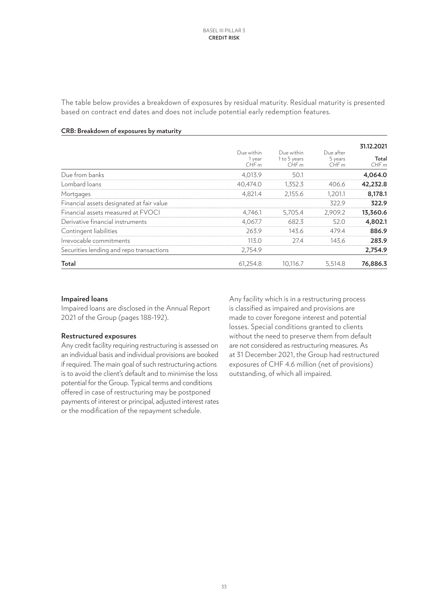The table below provides a breakdown of exposures by residual maturity. Residual maturity is presented based on contract end dates and does not include potential early redemption features.

|                                           | Due within<br>1 year<br>CHFm | Due within<br>1 to 5 years<br>CHFm | Due after<br>5 years<br>CHFm | 31.12.2021<br>Total<br>CHFm |
|-------------------------------------------|------------------------------|------------------------------------|------------------------------|-----------------------------|
| Due from banks                            | 4,013.9                      | 50.1                               |                              | 4,064.0                     |
| Lombard loans                             | 40,474.0                     | 1,352.3                            | 406.6                        | 42,232.8                    |
| Mortgages                                 | 4,821.4                      | 2,155.6                            | 1,201.1                      | 8,178.1                     |
| Financial assets designated at fair value |                              |                                    | 322.9                        | 322.9                       |
| Financial assets measured at FVOCI        | 4,746.1                      | 5,705.4                            | 2,909.2                      | 13,360.6                    |
| Derivative financial instruments          | 4.067.7                      | 682.3                              | 52.0                         | 4,802.1                     |
| Contingent liabilities                    | 263.9                        | 143.6                              | 479.4                        | 886.9                       |
| Irrevocable commitments                   | 113.0                        | 27.4                               | 143.6                        | 283.9                       |
| Securities lending and repo transactions  | 2,754.9                      |                                    |                              | 2,754.9                     |
| Total                                     | 61,254.8                     | 10,116.7                           | 5,514.8                      | 76,886.3                    |

#### **CRB: Breakdown of exposures by maturity**

#### **Impaired loans**

Impaired loans are disclosed in the Annual Report 2021 of the Group (pages 188-192).

#### **Restructured exposures**

Any credit facility requiring restructuring is assessed on an individual basis and individual provisions are booked if required. The main goal of such restructuring actions is to avoid the client's default and to minimise the loss potential for the Group. Typical terms and conditions offered in case of restructuring may be postponed payments of interest or principal, adjusted interest rates or the modification of the repayment schedule.

Any facility which is in a restructuring process is classified as impaired and provisions are made to cover foregone interest and potential losses. Special conditions granted to clients without the need to preserve them from default are not considered as restructuring measures. As at 31 December 2021, the Group had restructured exposures of CHF 4.6 million (net of provisions) outstanding, of which all impaired.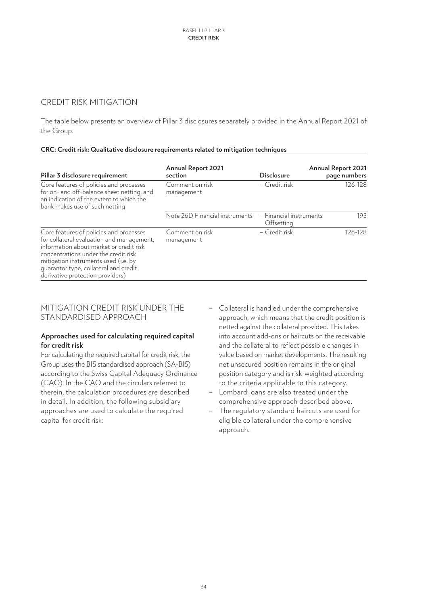# CREDIT RISK MITIGATION

The table below presents an overview of Pillar 3 disclosures separately provided in the Annual Report 2021 of the Group.

#### **CRC: Credit risk: Qualitative disclosure requirements related to mitigation techniques**

| Pillar 3 disclosure requirement                                                                                                                                                                                                                                                              | <b>Annual Report 2021</b><br>section | <b>Disclosure</b>                     | <b>Annual Report 2021</b><br>page numbers |
|----------------------------------------------------------------------------------------------------------------------------------------------------------------------------------------------------------------------------------------------------------------------------------------------|--------------------------------------|---------------------------------------|-------------------------------------------|
| Core features of policies and processes<br>for on- and off-balance sheet netting, and<br>an indication of the extent to which the<br>bank makes use of such netting                                                                                                                          | Comment on risk<br>management        | - Credit risk                         | 126-128                                   |
|                                                                                                                                                                                                                                                                                              | Note 26D Financial instruments       | - Financial instruments<br>Offsetting | 195                                       |
| Core features of policies and processes<br>for collateral evaluation and management;<br>information about market or credit risk<br>concentrations under the credit risk<br>mitigation instruments used (i.e. by<br>quarantor type, collateral and credit<br>derivative protection providers) | Comment on risk<br>management        | - Credit risk                         | 126-128                                   |

#### MITIGATION CREDIT RISK UNDER THE STANDARDISED APPROACH

#### **Approaches used for calculating required capital for credit risk**

For calculating the required capital for credit risk, the Group uses the BIS standardised approach (SA-BIS) according to the Swiss Capital Adequacy Ordinance (CAO). In the CAO and the circulars referred to therein, the calculation procedures are described in detail. In addition, the following subsidiary approaches are used to calculate the required capital for credit risk:

- Collateral is handled under the comprehensive approach, which means that the credit position is netted against the collateral provided. This takes into account add-ons or haircuts on the receivable and the collateral to reflect possible changes in value based on market developments. The resulting net unsecured position remains in the original position category and is risk-weighted according to the criteria applicable to this category.
- Lombard loans are also treated under the comprehensive approach described above.
- The regulatory standard haircuts are used for eligible collateral under the comprehensive approach.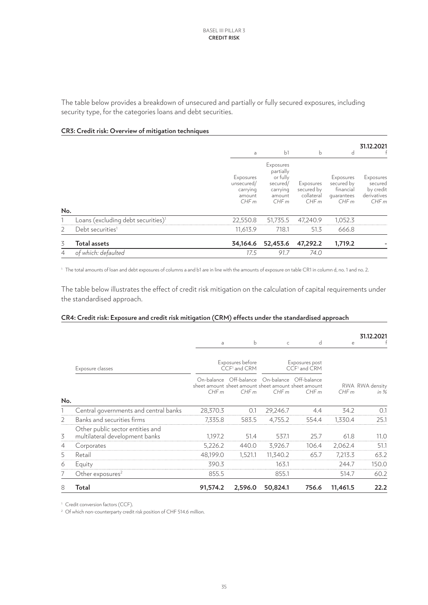The table below provides a breakdown of unsecured and partially or fully secured exposures, including security type, for the categories loans and debt securities.

#### **CR3: Credit risk: Overview of mitigation techniques**

|                |                                                | a                                                     | b <sub>1</sub>                                                               | $\mathbf b$                                   | d                                                          | 31.12.2021                                               |
|----------------|------------------------------------------------|-------------------------------------------------------|------------------------------------------------------------------------------|-----------------------------------------------|------------------------------------------------------------|----------------------------------------------------------|
| No.            |                                                | Exposures<br>unsecured/<br>carrying<br>amount<br>CHFm | Exposures<br>partially<br>or fully<br>secured/<br>carrying<br>amount<br>CHFm | Exposures<br>secured by<br>collateral<br>CHFm | Exposures<br>secured by<br>financial<br>quarantees<br>CHFm | Exposures<br>secured<br>by credit<br>derivatives<br>CHFm |
|                | Loans (excluding debt securities) <sup>1</sup> | 22,550.8                                              | 51,735.5                                                                     | 47,240.9                                      | 1,052.3                                                    |                                                          |
| 2              | Debt securities <sup>1</sup>                   | 11,613.9                                              | 718.1                                                                        | 51.3                                          | 666.8                                                      |                                                          |
| 3              | <b>Total assets</b>                            | 34,164.6                                              | 52,453.6                                                                     | 47,292.2                                      | 1,719.2                                                    |                                                          |
| $\overline{4}$ | of which: defaulted                            | 17.5                                                  | 91.7                                                                         | 74.0                                          |                                                            |                                                          |

<sup>1</sup> The total amounts of loan and debt exposures of columns a and b1 are in line with the amounts of exposure on table CR1 in column d, no. 1 and no. 2.

The table below illustrates the effect of credit risk mitigation on the calculation of capital requirements under the standardised approach.

#### **CR4: Credit risk: Exposure and credit risk mitigation (CRM) effects under the standardised approach**

|                |                                                                    | a        | b                                            | $\mathsf{C}$                                                              | d                                          | e        | 31.12.2021                |
|----------------|--------------------------------------------------------------------|----------|----------------------------------------------|---------------------------------------------------------------------------|--------------------------------------------|----------|---------------------------|
|                | Exposure classes                                                   |          | Exposures before<br>CCF <sup>1</sup> and CRM |                                                                           | Exposures post<br>CCF <sup>1</sup> and CRM |          |                           |
|                |                                                                    | CHFm     | On-balance Off-balance<br>CHFm               | On-balance<br>sheet amount sheet amount sheet amount sheet amount<br>CHFm | Off-balance<br>CHFm                        | CHFm     | RWA RWA density<br>in $%$ |
| No.            | Central governments and central banks                              | 28,370.3 | 0.1                                          | 29,246.7                                                                  | 4.4                                        | 34.2     | 0.1                       |
| $\overline{2}$ | Banks and securities firms                                         | 7,335.8  | 583.5                                        | 4,755.2                                                                   | 554.4                                      | 1,330.4  | 25.1                      |
| 3              | Other public sector entities and<br>multilateral development banks | 1,197.2  | 51.4                                         | 537.1                                                                     | 25.7                                       | 61.8     | 11.0                      |
| $\overline{4}$ | Corporates                                                         | 5,226.2  | 440.0                                        | 3,926.7                                                                   | 106.4                                      | 2,062.4  | 51.1                      |
| 5              | Retail                                                             | 48,199.0 | 1,521.1                                      | 11,340.2                                                                  | 65.7                                       | 7,213.3  | 63.2                      |
| 6              | Equity                                                             | 390.3    |                                              | 163.1                                                                     |                                            | 244.7    | 150.0                     |
| 7              | Other exposures <sup>2</sup>                                       | 855.5    |                                              | 855.1                                                                     |                                            | 514.7    | 60.2                      |
| 8              | Total                                                              | 91,574.2 | 2,596.0                                      | 50,824.1                                                                  | 756.6                                      | 11,461.5 | 22.2                      |

<sup>1</sup> Credit conversion factors (CCF).

<sup>2</sup> Of which non-counterparty credit risk position of CHF 514.6 million.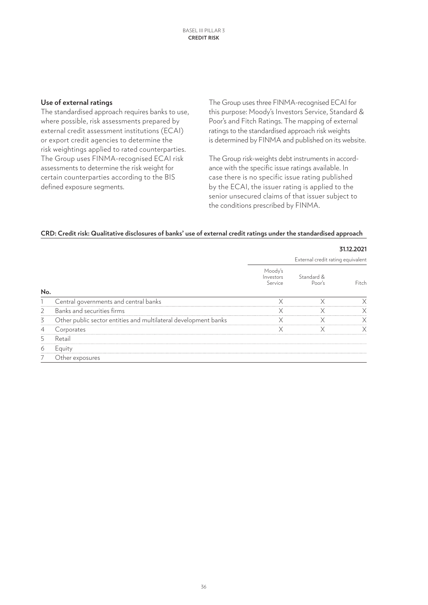#### **Use of external ratings**

The standardised approach requires banks to use, where possible, risk assessments prepared by external credit assessment institutions (ECAI) or export credit agencies to determine the risk weightings applied to rated counterparties. The Group uses FINMA-recognised ECAI risk assessments to determine the risk weight for certain counterparties according to the BIS defined exposure segments.

The Group uses three FINMA-recognised ECAI for this purpose: Moody's Investors Service, Standard & Poor's and Fitch Ratings. The mapping of external ratings to the standardised approach risk weights is determined by FINMA and published on its website.

The Group risk-weights debt instruments in accordance with the specific issue ratings available. In case there is no specific issue rating published by the ECAI, the issuer rating is applied to the senior unsecured claims of that issuer subject to the conditions prescribed by FINMA.

#### **CRD: Credit risk: Qualitative disclosures of banks' use of external credit ratings under the standardised approach**

|                |                                                                 |                                 |                                   | 31.12.2021 |
|----------------|-----------------------------------------------------------------|---------------------------------|-----------------------------------|------------|
|                |                                                                 |                                 | External credit rating equivalent |            |
|                |                                                                 | Moody's<br>Investors<br>Service | Standard &<br>Poor's              | Fitch      |
| No.            |                                                                 |                                 |                                   |            |
|                | Central governments and central banks                           | X                               | X                                 | Χ          |
| $\overline{2}$ | Banks and securities firms                                      | X                               | X                                 | Χ          |
| 3              | Other public sector entities and multilateral development banks | X                               | X                                 | X          |
|                | Corporates                                                      | X                               | X                                 | X          |
| 5              | Retail                                                          |                                 |                                   |            |
| 6              | Equity                                                          |                                 |                                   |            |
|                | Other exposures                                                 |                                 |                                   |            |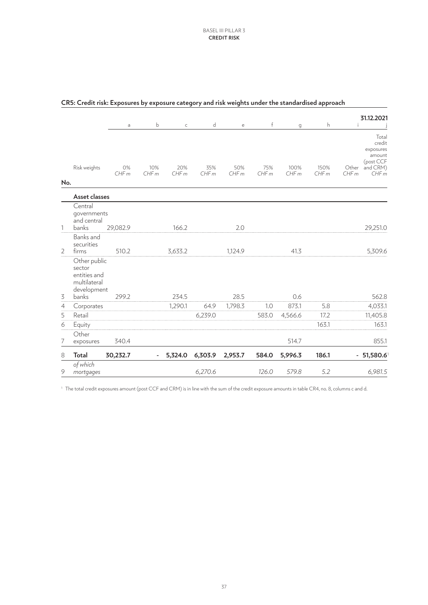|                |                                                                                | a          | b           | $\mathsf C$ | d           | e           | $\mathsf{f}$ | g            | h            | 31.12.2021<br>Ť                                                                          |
|----------------|--------------------------------------------------------------------------------|------------|-------------|-------------|-------------|-------------|--------------|--------------|--------------|------------------------------------------------------------------------------------------|
| No.            | Risk weights                                                                   | 0%<br>CHFm | 10%<br>CHFm | 20%<br>CHFm | 35%<br>CHFm | 50%<br>CHFm | 75%<br>CHFm  | 100%<br>CHFm | 150%<br>CHFm | Total<br>credit<br>exposures<br>amount<br>(post CCF<br>and CRM)<br>Other<br>CHFm<br>CHFm |
|                | Asset classes                                                                  |            |             |             |             |             |              |              |              |                                                                                          |
| 1              | Central<br>governments<br>and central<br>banks                                 | 29,082.9   |             | 166.2       |             | 2.0         |              |              |              | 29,251.0                                                                                 |
| $\overline{2}$ | Banks and<br>securities<br>firms                                               | 510.2      |             | 3,633.2     |             | 1,124.9     |              | 41.3         |              | 5,309.6                                                                                  |
| 3              | Other public<br>sector<br>entities and<br>multilateral<br>development<br>banks | 299.2      |             | 234.5       |             | 28.5        |              | 0.6          |              | 562.8                                                                                    |
| $\overline{4}$ | Corporates                                                                     |            |             | 1,290.1     | 64.9        | 1,798.3     | 1.0          | 873.1        | 5.8          | 4,033.1                                                                                  |
| 5              | Retail                                                                         |            |             |             | 6,239.0     |             | 583.0        | 4,566.6      | 17.2         | 11,405.8                                                                                 |
| 6              | Equity                                                                         |            |             |             |             |             |              |              | 163.1        | 163.1                                                                                    |
| 7              | Other<br>exposures                                                             | 340.4      |             |             |             |             |              | 514.7        |              | 855.1                                                                                    |
| 8              | <b>Total</b>                                                                   | 30,232.7   |             | 5,324.0     | 6,303.9     | 2,953.7     | 584.0        | 5,996.3      | 186.1        | 51,580.6<br>$\overline{\phantom{0}}$                                                     |
| 9              | of which<br>mortgages                                                          |            |             |             | 6,270.6     |             | 126.0        | 579.8        | 5.2          | 6,981.5                                                                                  |

#### **CR5: Credit risk: Exposures by exposure category and risk weights under the standardised approach**

<sup>1</sup> The total credit exposures amount (post CCF and CRM) is in line with the sum of the credit exposure amounts in table CR4, no. 8, columns c and d.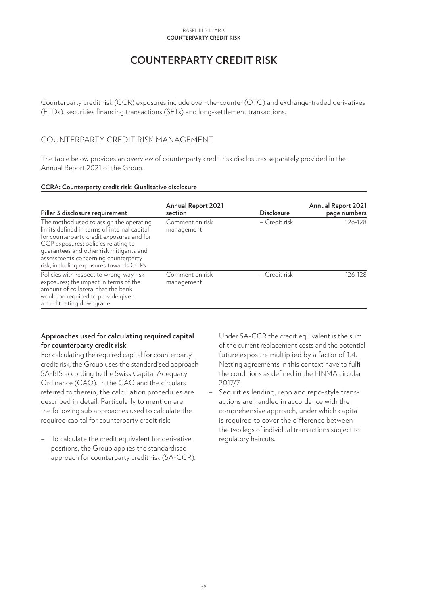#### **Counterparty credit risk** Basel III Pillar 3

# **COUNTERPARTY CREDIT RISK**

<span id="page-37-0"></span>Counterparty credit risk (CCR) exposures include over-the-counter (OTC) and exchange-traded derivatives (ETDs), securities financing transactions (SFTs) and long-settlement transactions.

# COUNTERPARTY CREDIT RISK MANAGEMENT

The table below provides an overview of counterparty credit risk disclosures separately provided in the Annual Report 2021 of the Group.

#### **CCRA: Counterparty credit risk: Qualitative disclosure**

| Pillar 3 disclosure requirement                                                                                                                                                                                                                                                                        | <b>Annual Report 2021</b><br>section | <b>Disclosure</b> | <b>Annual Report 2021</b><br>page numbers |
|--------------------------------------------------------------------------------------------------------------------------------------------------------------------------------------------------------------------------------------------------------------------------------------------------------|--------------------------------------|-------------------|-------------------------------------------|
| The method used to assign the operating<br>limits defined in terms of internal capital<br>for counterparty credit exposures and for<br>CCP exposures; policies relating to<br>quarantees and other risk mitigants and<br>assessments concerning counterparty<br>risk, including exposures towards CCPs | Comment on risk<br>management        | - Credit risk     | 126-128                                   |
| Policies with respect to wrong-way risk<br>exposures; the impact in terms of the<br>amount of collateral that the bank<br>would be required to provide given<br>a credit rating downgrade                                                                                                              | Comment on risk<br>management        | - Credit risk     | 126-128                                   |

#### **Approaches used for calculating required capital for counterparty credit risk**

For calculating the required capital for counterparty credit risk, the Group uses the standardised approach SA-BIS according to the Swiss Capital Adequacy Ordinance (CAO). In the CAO and the circulars referred to therein, the calculation procedures are described in detail. Particularly to mention are the following sub approaches used to calculate the required capital for counterparty credit risk:

– To calculate the credit equivalent for derivative positions, the Group applies the standardised approach for counterparty credit risk (SA-CCR). Under SA-CCR the credit equivalent is the sum of the current replacement costs and the potential future exposure multiplied by a factor of 1.4. Netting agreements in this context have to fulfil the conditions as defined in the FINMA circular 2017/7.

– Securities lending, repo and repo-style transactions are handled in accordance with the comprehensive approach, under which capital is required to cover the difference between the two legs of individual transactions subject to regulatory haircuts.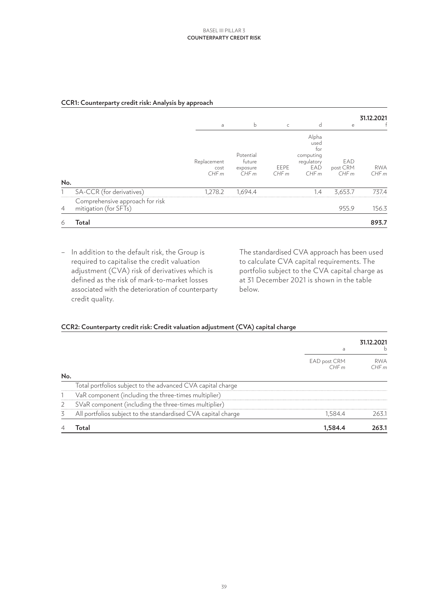#### **CCR1: Counterparty credit risk: Analysis by approach**

|                |                                                          | a                           | b                                       | $\subset$    | d                                                              | e                       | 31.12.2021         |
|----------------|----------------------------------------------------------|-----------------------------|-----------------------------------------|--------------|----------------------------------------------------------------|-------------------------|--------------------|
| No.            |                                                          | Replacement<br>cost<br>CHFm | Potential<br>future<br>exposure<br>CHFm | EEPE<br>CHFm | Alpha<br>used<br>for<br>computing<br>regulatory<br>EAD<br>CHFm | EAD<br>post CRM<br>CHFm | <b>RWA</b><br>CHFm |
|                | SA-CCR (for derivatives)                                 | 1,278.2                     | 1,694.4                                 |              | 1.4                                                            | 3,653.7                 | 737.4              |
| $\overline{4}$ | Comprehensive approach for risk<br>mitigation (for SFTs) |                             |                                         |              |                                                                | 955.9                   | 156.3              |
| 6              | Total                                                    |                             |                                         |              |                                                                |                         | 893.7              |

– In addition to the default risk, the Group is required to capitalise the credit valuation adjustment (CVA) risk of derivatives which is defined as the risk of mark-to-market losses associated with the deterioration of counterparty credit quality.

The standardised CVA approach has been used to calculate CVA capital requirements. The portfolio subject to the CVA capital charge as at 31 December 2021 is shown in the table below.

## **CCR2: Counterparty credit risk: Credit valuation adjustment (CVA) capital charge**

|     |                                                               | a                    | 31.12.2021<br>h    |
|-----|---------------------------------------------------------------|----------------------|--------------------|
|     |                                                               | EAD post CRM<br>CHFm | <b>RWA</b><br>CHFm |
| No. |                                                               |                      |                    |
|     | Total portfolios subject to the advanced CVA capital charge   |                      |                    |
|     | VaR component (including the three-times multiplier)          |                      |                    |
| 2   | SVaR component (including the three-times multiplier)         |                      |                    |
| 3   | All portfolios subject to the standardised CVA capital charge | 1,584.4              | 263.1              |
|     | Total                                                         | 1,584.4              | 263.1              |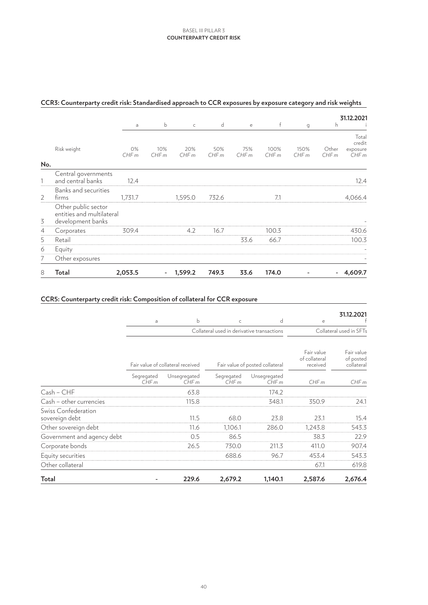#### **Counterparty credit risk** Basel III Pillar 3

|                    |                                                                       | a           | $\mathsf b$ | $\mathsf{C}$ | d           | $\mathsf{e}% _{t}\left( t\right)$ | $\mathsf{f}$ | g             | h                                   | 31.12.2021 |
|--------------------|-----------------------------------------------------------------------|-------------|-------------|--------------|-------------|-----------------------------------|--------------|---------------|-------------------------------------|------------|
| Risk weight<br>No. | 0%<br>CHFm                                                            | 10%<br>CHFm | 20%<br>CHFm | 50%<br>CHFm  | 75%<br>CHFm | 100%<br>CHFm                      | 150%<br>CHFm | Other<br>CHFm | Total<br>credit<br>exposure<br>CHFm |            |
|                    | Central governments<br>and central banks                              | 12.4        |             |              |             |                                   |              |               |                                     | 12.4       |
| 2                  | Banks and securities<br>firms                                         | 1,731.7     |             | 1,595.0      | 732.6       |                                   | 7.1          |               |                                     | 4,066.4    |
| 3                  | Other public sector<br>entities and multilateral<br>development banks |             |             |              |             |                                   |              |               |                                     |            |
| $\overline{4}$     | Corporates                                                            | 309.4       |             | 4.2          | 16.7        |                                   | 100.3        |               |                                     | 430.6      |
| 5                  | Retail                                                                |             |             |              |             | 33.6                              | 66.7         |               |                                     | 100.3      |
| 6                  | Equity                                                                |             |             |              |             |                                   |              |               |                                     |            |
| 7                  | Other exposures                                                       |             |             |              |             |                                   |              |               |                                     |            |
| 8                  | Total                                                                 | 2,053.5     | $\sim$      | 1,599.2      | 749.3       | 33.6                              | 174.0        |               | $\qquad \qquad \blacksquare$        | 4,609.7    |

# **CCR3: Counterparty credit risk: Standardised approach to CCR exposures by exposure category and risk weights**

#### **CCR5: Counterparty credit risk: Composition of collateral for CCR exposure**

|                                       |                    |                                   |                                            |                                 |                                         | 31.12.2021                            |  |
|---------------------------------------|--------------------|-----------------------------------|--------------------------------------------|---------------------------------|-----------------------------------------|---------------------------------------|--|
|                                       | a                  | b                                 | $\subset$                                  | d                               | e                                       |                                       |  |
|                                       |                    |                                   | Collateral used in derivative transactions |                                 |                                         | Collateral used in SFTs               |  |
|                                       |                    | Fair value of collateral received |                                            | Fair value of posted collateral | Fair value<br>of collateral<br>received | Fair value<br>of posted<br>collateral |  |
|                                       | Segregated<br>CHFm | Unsegregated<br>CHFm              | Segregated<br>CHFm                         | Unsegregated<br>CHFm            | CHFm                                    | CHFm                                  |  |
| Cash - CHF                            |                    | 63.8                              |                                            | 174.2                           |                                         |                                       |  |
| Cash - other currencies               |                    | 115.8                             |                                            | 348.1                           | 350.9                                   | 24.1                                  |  |
| Swiss Confederation<br>sovereign debt |                    | 11.5                              | 68.0                                       | 23.8                            | 23.1                                    | 15.4                                  |  |
| Other sovereign debt                  |                    | 11.6                              | 1,106.1                                    | 286.0                           | 1,243.8                                 | 543.3                                 |  |
| Government and agency debt            |                    | 0.5                               | 86.5                                       |                                 | 38.3                                    | 22.9                                  |  |
| Corporate bonds                       |                    | 26.5                              | 730.0                                      | 211.3                           | 411.0                                   | 907.4                                 |  |
| Equity securities                     |                    |                                   | 688.6                                      | 96.7                            | 453.4                                   | 543.3                                 |  |
| Other collateral                      |                    |                                   |                                            |                                 | 67.1                                    | 619.8                                 |  |
| Total                                 |                    | 229.6                             | 2,679.2                                    | 1,140.1                         | 2,587.6                                 | 2,676.4                               |  |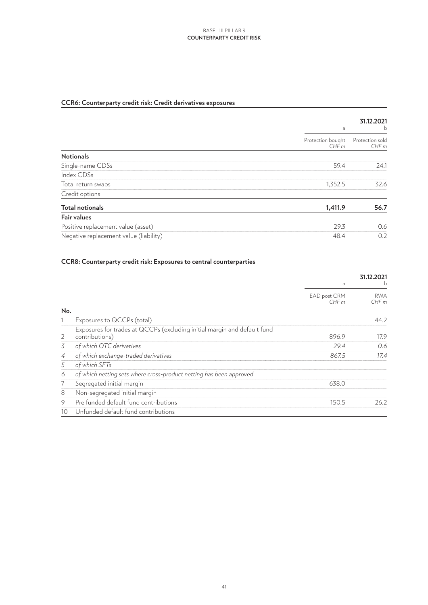#### **Counterparty credit risk** Basel III Pillar 3

# **CCR6: Counterparty credit risk: Credit derivatives exposures**

|                                        |                           | 31.12.2021              |
|----------------------------------------|---------------------------|-------------------------|
|                                        | a                         | b                       |
|                                        | Protection bought<br>CHFm | Protection sold<br>CHFm |
| <b>Notionals</b>                       |                           |                         |
| Single-name CDSs                       | 59.4                      | 24.1                    |
| Index CDSs                             |                           |                         |
| Total return swaps                     | 1,352.5                   | 32.6                    |
| Credit options                         |                           |                         |
| <b>Total notionals</b>                 | 1,411.9                   | 56.7                    |
| <b>Fair values</b>                     |                           |                         |
| Positive replacement value (asset)     | 29.3                      | 0.6                     |
| Negative replacement value (liability) | 48.4                      | 0.2                     |

#### **CCR8: Counterparty credit risk: Exposures to central counterparties**

|                |                                                                                            | а                    | 31.12.2021         |
|----------------|--------------------------------------------------------------------------------------------|----------------------|--------------------|
|                |                                                                                            | EAD post CRM<br>CHFm | <b>RWA</b><br>CHFm |
| No.            |                                                                                            |                      |                    |
|                | Exposures to QCCPs (total)                                                                 |                      | 44.2               |
| 2              | Exposures for trades at QCCPs (excluding initial margin and default fund<br>contributions) | 896.9                | 17.9               |
| 3              | of which OTC derivatives                                                                   | 29.4                 | 0.6                |
| $\overline{4}$ | of which exchange-traded derivatives                                                       | 867.5                | 17.4               |
| 5              | of which SFTs                                                                              |                      |                    |
| 6              | of which netting sets where cross-product netting has been approved                        |                      |                    |
|                | Segregated initial margin                                                                  | 638.0                |                    |
| 8              | Non-segregated initial margin                                                              |                      |                    |
| 9              | Pre funded default fund contributions                                                      | 150.5                | 26.2               |
| 10             | Unfunded default fund contributions                                                        |                      |                    |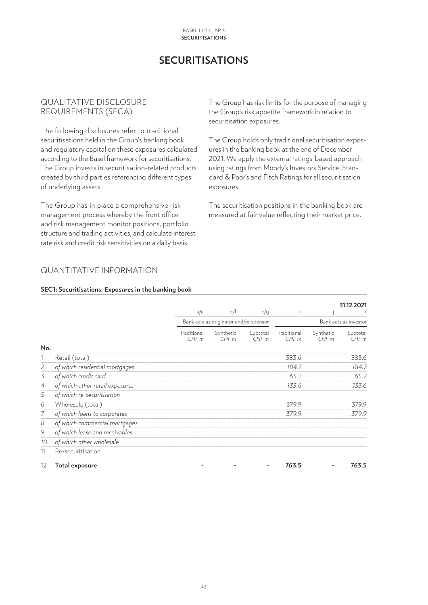#### **Securitisations** Basel III Pillar 3

# **SECURITISATIONS**

### <span id="page-41-0"></span>QUALITATIVE DISCLOSURE REQUIREMENTS (SECA)

The following disclosures refer to traditional securitisations held in the Group's banking book and regulatory capital on these exposures calculated according to the Basel framework for securitisations. The Group invests in securitisation-related products created by third parties referencing different types of underlying assets.

The Group has in place a comprehensive risk management process whereby the front office and risk management monitor positions, portfolio structure and trading activities, and calculate interest rate risk and credit risk sensitivities on a daily basis.

The Group has risk limits for the purpose of managing the Group's risk appetite framework in relation to securitisation exposures.

The Group holds only traditional securitisation exposures in the banking book at the end of December 2021. We apply the external ratings-based approach using ratings from Moody's Investors Service, Standard & Poor's and Fitch Ratings for all securitisation exposures.

The securitisation positions in the banking book are measured at fair value reflecting their market price.

# QUANTITATIVE INFORMATION

#### **SEC1: Securitisations: Exposures in the banking book**

|                |                                 |                     |                                        |                  |                     |                   | 31.12.2021            |
|----------------|---------------------------------|---------------------|----------------------------------------|------------------|---------------------|-------------------|-----------------------|
|                |                                 | a/e                 | b/f                                    | c/q              |                     |                   |                       |
|                |                                 |                     | Bank acts as originator and/or sponsor |                  |                     |                   | Bank acts as investor |
|                |                                 | Traditional<br>CHFm | Synthetic<br>CHFm                      | Subtotal<br>CHFm | Traditional<br>CHFm | Synthetic<br>CHFm | Subtotal<br>CHFm      |
| No.            |                                 |                     |                                        |                  |                     |                   |                       |
|                | Retail (total)                  |                     |                                        |                  | 383.6               |                   | 383.6                 |
| $\overline{2}$ | of which residential mortgages  |                     |                                        |                  | 184.7               |                   | 184.7                 |
| 3              | of which credit card            |                     |                                        |                  | 65.2                |                   | 65.2                  |
| $\overline{4}$ | of which other retail exposures |                     |                                        |                  | 133.6               |                   | 133.6                 |
| 5              | of which re-securitisation      |                     |                                        |                  |                     |                   |                       |
| 6              | Wholesale (total)               |                     |                                        |                  | 379.9               |                   | 379.9                 |
| 7              | of which loans to corporates    |                     |                                        |                  | 379.9               |                   | 379.9                 |
| 8              | of which commercial mortgages   |                     |                                        |                  |                     |                   |                       |
| 9              | of which lease and receivables  |                     |                                        |                  |                     |                   |                       |
| 10             | of which other wholesale        |                     |                                        |                  |                     |                   |                       |
| 11             | Re-securitisation               |                     |                                        |                  |                     |                   |                       |
| 12             | <b>Total exposure</b>           |                     |                                        |                  | 763.5               |                   | 763.5                 |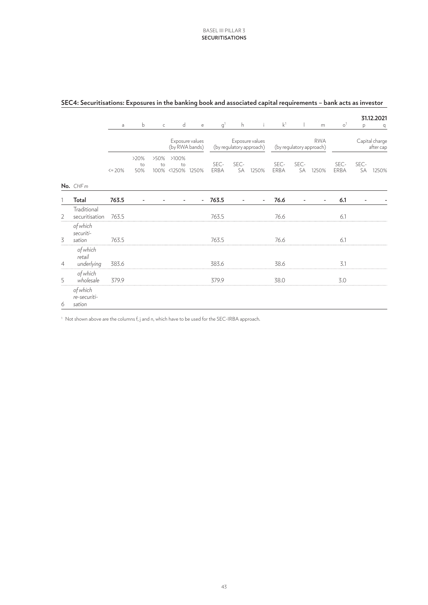|   |                                    |          |                          |                    |                                   |              |                |            |                                             |                |                          |                          |                      |            | 31.12.2021                  |
|---|------------------------------------|----------|--------------------------|--------------------|-----------------------------------|--------------|----------------|------------|---------------------------------------------|----------------|--------------------------|--------------------------|----------------------|------------|-----------------------------|
|   |                                    | a        | b                        | $\mathsf C$        | $\mathsf{d}$                      | $\mathsf{e}$ | g <sup>1</sup> | h.         | $\ddot{1}$                                  | k <sup>1</sup> | $\mathbf{I}$             | m                        | $\circ$ <sup>1</sup> | p          | q                           |
|   |                                    |          |                          |                    | Exposure values<br>(by RWA bands) |              |                |            | Exposure values<br>(by regulatory approach) |                | (by regulatory approach) | <b>RWA</b>               |                      |            | Capital charge<br>after cap |
|   |                                    | $<=$ 20% | >20%<br>to<br>50%        | >50%<br>to<br>100% | >100%<br>to<br><1250%             | 1250%        | SEC-<br>ERBA   | SEC-<br>SA | 1250%                                       | SEC-<br>ERBA   | SEC-<br>SA               | 1250%                    | SEC-<br>ERBA         | SEC-<br>SA | 1250%                       |
|   | No. CHFm                           |          |                          |                    |                                   |              |                |            |                                             |                |                          |                          |                      |            |                             |
|   | Total                              | 763.5    | $\overline{\phantom{a}}$ |                    |                                   |              | $-763.5$       |            | $\overline{\phantom{a}}$                    | 76.6           |                          | $\overline{\phantom{a}}$ | 6.1                  |            |                             |
| 2 | Traditional<br>securitisation      | 763.5    |                          |                    |                                   |              | 763.5          |            |                                             | 76.6           |                          |                          | 6.1                  |            |                             |
| 3 | of which<br>securiti-<br>sation    | 763.5    |                          |                    |                                   |              | 763.5          |            |                                             | 76.6           |                          |                          | 6.1                  |            |                             |
| 4 | of which<br>retail<br>underlying   | 383.6    |                          |                    |                                   |              | 383.6          |            |                                             | 38.6           |                          |                          | 3.1                  |            |                             |
| 5 | of which<br>wholesale              | 379.9    |                          |                    |                                   |              | 379.9          |            |                                             | 38.0           |                          |                          | 3.0                  |            |                             |
| 6 | of which<br>re-securiti-<br>sation |          |                          |                    |                                   |              |                |            |                                             |                |                          |                          |                      |            |                             |

#### **SEC4: Securitisations: Exposures in the banking book and associated capital requirements – bank acts as investor**

<sup>1</sup> Not shown above are the columns f, j and n, which have to be used for the SEC-IRBA approach.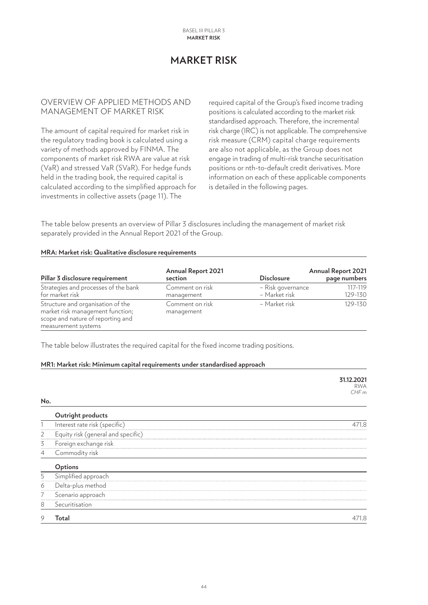# **MARKET RISK**

## <span id="page-43-0"></span>OVERVIEW OF APPLIED METHODS AND MANAGEMENT OF MARKET RISK

The amount of capital required for market risk in the regulatory trading book is calculated using a variety of methods approved by FINMA. The components of market risk RWA are value at risk (VaR) and stressed VaR (SVaR). For hedge funds held in the trading book, the required capital is calculated according to the simplified approach for investments in collective assets (page 11). The

required capital of the Group's fixed income trading positions is calculated according to the market risk standardised approach. Therefore, the incremental risk charge (IRC) is not applicable. The comprehensive risk measure (CRM) capital charge requirements are also not applicable, as the Group does not engage in trading of multi-risk tranche securitisation positions or nth-to-default credit derivatives. More information on each of these applicable components is detailed in the following pages.

The table below presents an overview of Pillar 3 disclosures including the management of market risk separately provided in the Annual Report 2021 of the Group.

#### **MRA: Market risk: Qualitative disclosure requirements**

| Pillar 3 disclosure requirement                                                                                                   | <b>Annual Report 2021</b><br>section | <b>Disclosure</b>                  | <b>Annual Report 2021</b><br>page numbers |
|-----------------------------------------------------------------------------------------------------------------------------------|--------------------------------------|------------------------------------|-------------------------------------------|
| Strategies and processes of the bank<br>for market risk                                                                           | Comment on risk<br>management        | - Risk governance<br>- Market risk | 117-119<br>129-130                        |
| Structure and organisation of the<br>market risk management function;<br>scope and nature of reporting and<br>measurement systems | Comment on risk<br>management        | - Market risk                      | 129-130                                   |

The table below illustrates the required capital for the fixed income trading positions.

#### **MR1: Market risk: Minimum capital requirements under standardised approach**

|                |                                    | 31.12.2021<br><b>RWA</b><br>CHFm |
|----------------|------------------------------------|----------------------------------|
| No.            |                                    |                                  |
|                | Outright products                  |                                  |
|                | Interest rate risk (specific)      | 471.8                            |
| $\overline{2}$ | Equity risk (general and specific) |                                  |
| 3              | Foreign exchange risk              |                                  |
| 4              | Commodity risk                     |                                  |
|                | Options                            |                                  |
| 5              | Simplified approach                |                                  |
| 6              | Delta-plus method                  |                                  |
| 7              | Scenario approach                  |                                  |
| 8              | Securitisation                     |                                  |
| 9              | Total                              | 471.8                            |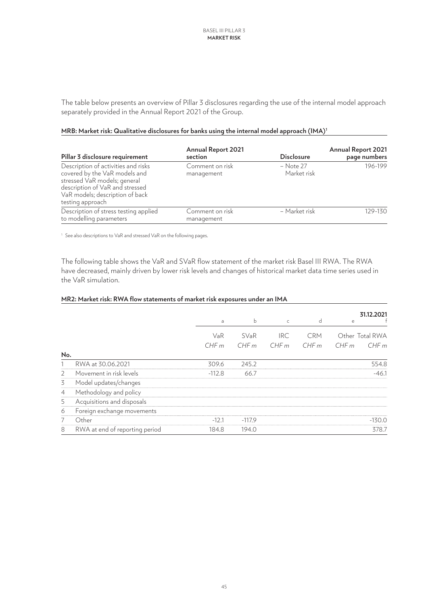The table below presents an overview of Pillar 3 disclosures regarding the use of the internal model approach separately provided in the Annual Report 2021 of the Group.

| Pillar 3 disclosure requirement                                                                                                                                                                | <b>Annual Report 2021</b><br>section | <b>Disclosure</b>          | <b>Annual Report 2021</b><br>page numbers |
|------------------------------------------------------------------------------------------------------------------------------------------------------------------------------------------------|--------------------------------------|----------------------------|-------------------------------------------|
| Description of activities and risks<br>covered by the VaR models and<br>stressed VaR models; general<br>description of VaR and stressed<br>VaR models; description of back<br>testing approach | Comment on risk<br>management        | $-$ Note 27<br>Market risk | 196-199                                   |
| Description of stress testing applied<br>to modelling parameters                                                                                                                               | Comment on risk<br>management        | - Market risk              | 129-130                                   |

#### **MRB: Market risk: Qualitative disclosures for banks using the internal model approach (IMA)1**

<sup>1</sup> See also descriptions to VaR and stressed VaR on the following pages.

The following table shows the VaR and SVaR flow statement of the market risk Basel III RWA. The RWA have decreased, mainly driven by lower risk levels and changes of historical market data time series used in the VaR simulation.

#### **MR2: Market risk: RWA flow statements of market risk exposures under an IMA**

|                |                                | a        | $\mathsf b$ | $\mathsf{C}$ | d          | 31.12.2021<br>e |
|----------------|--------------------------------|----------|-------------|--------------|------------|-----------------|
|                |                                | VaR      | SVaR        | <b>IRC</b>   | <b>CRM</b> | Other Total RWA |
| No.            |                                | CHFm     | CHFm        | CHFm         | CHFm       | CHFm<br>CHFm    |
|                | RWA at 30.06.2021              | 309.6    | 245.2       |              |            | 554.8           |
| $\overline{2}$ | Movement in risk levels        | $-112.8$ | 66.7        |              |            | $-46.1$         |
| 3              | Model updates/changes          |          |             |              |            |                 |
| $\overline{4}$ | Methodology and policy         |          |             |              |            |                 |
| 5              | Acquisitions and disposals     |          |             |              |            |                 |
| 6              | Foreign exchange movements     |          |             |              |            |                 |
| 7              | Other                          | $-12.1$  | $-117.9$    |              |            | $-130.0$        |
| 8              | RWA at end of reporting period | 184.8    | 194.0       |              |            | 378.7           |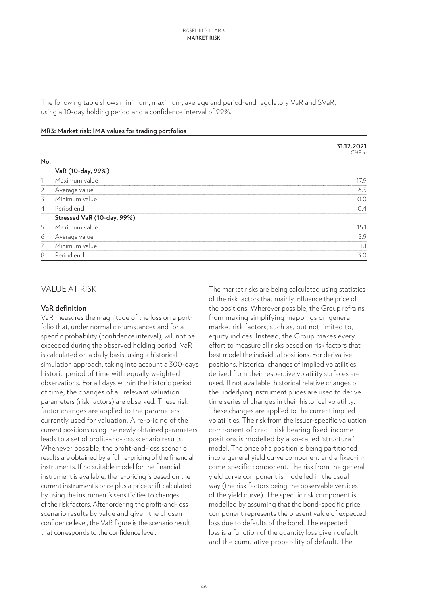The following table shows minimum, maximum, average and period-end regulatory VaR and SVaR, using a 10-day holding period and a confidence interval of 99%.

| MR3: Market risk: IMA values for trading portfolios |  |
|-----------------------------------------------------|--|
|-----------------------------------------------------|--|

|                |                            | 31.12.2021<br>CHFm |
|----------------|----------------------------|--------------------|
| No.            |                            |                    |
|                | VaR (10-day, 99%)          |                    |
|                | Maximum value              | 17.9               |
| 2              | Average value              | 6.5                |
| 3              | Minimum value              | 0.0                |
| $\overline{4}$ | Period end                 | 0.4                |
|                | Stressed VaR (10-day, 99%) |                    |
| 5              | Maximum value              | 15.1               |
| 6              | Average value              | 5.9                |
| 7              | Minimum value              | 1.1                |
| 8              | Period end                 | 3.0                |
|                |                            |                    |

## VALUE AT RISK

#### **VaR definition**

VaR measures the magnitude of the loss on a portfolio that, under normal circumstances and for a specific probability (confidence interval), will not be exceeded during the observed holding period. VaR is calculated on a daily basis, using a historical simulation approach, taking into account a 300-days historic period of time with equally weighted observations. For all days within the historic period of time, the changes of all relevant valuation parameters (risk factors) are observed. These risk factor changes are applied to the parameters currently used for valuation. A re-pricing of the current positions using the newly obtained parameters leads to a set of profit-and-loss scenario results. Whenever possible, the profit-and-loss scenario results are obtained by a full re-pricing of the financial instruments. If no suitable model for the financial instrument is available, the re-pricing is based on the current instrument's price plus a price shift calculated by using the instrument's sensitivities to changes of the risk factors. After ordering the profit-and-loss scenario results by value and given the chosen confidence level, the VaR figure is the scenario result that corresponds to the confidence level.

The market risks are being calculated using statistics of the risk factors that mainly influence the price of the positions. Wherever possible, the Group refrains from making simplifying mappings on general market risk factors, such as, but not limited to, equity indices. Instead, the Group makes every effort to measure all risks based on risk factors that best model the individual positions. For derivative positions, historical changes of implied volatilities derived from their respective volatility surfaces are used. If not available, historical relative changes of the underlying instrument prices are used to derive time series of changes in their historical volatility. These changes are applied to the current implied volatilities. The risk from the issuer-specific valuation component of credit risk bearing fixed-income positions is modelled by a so-called 'structural' model. The price of a position is being partitioned into a general yield curve component and a fixed-income-specific component. The risk from the general yield curve component is modelled in the usual way (the risk factors being the observable vertices of the yield curve). The specific risk component is modelled by assuming that the bond-specific price component represents the present value of expected loss due to defaults of the bond. The expected loss is a function of the quantity loss given default and the cumulative probability of default. The

**31.12.2021**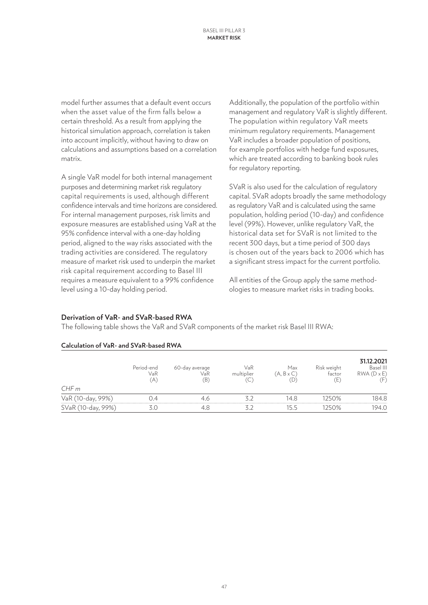model further assumes that a default event occurs when the asset value of the firm falls below a certain threshold. As a result from applying the historical simulation approach, correlation is taken into account implicitly, without having to draw on calculations and assumptions based on a correlation matrix.

A single VaR model for both internal management purposes and determining market risk regulatory capital requirements is used, although different confidence intervals and time horizons are considered. For internal management purposes, risk limits and exposure measures are established using VaR at the 95% confidence interval with a one-day holding period, aligned to the way risks associated with the trading activities are considered. The regulatory measure of market risk used to underpin the market risk capital requirement according to Basel III requires a measure equivalent to a 99% confidence level using a 10-day holding period.

Additionally, the population of the portfolio within management and regulatory VaR is slightly different. The population within regulatory VaR meets minimum regulatory requirements. Management VaR includes a broader population of positions, for example portfolios with hedge fund exposures, which are treated according to banking book rules for regulatory reporting.

SVaR is also used for the calculation of regulatory capital. SVaR adopts broadly the same methodology as regulatory VaR and is calculated using the same population, holding period (10-day) and confidence level (99%). However, unlike regulatory VaR, the historical data set for SVaR is not limited to the recent 300 days, but a time period of 300 days is chosen out of the years back to 2006 which has a significant stress impact for the current portfolio.

All entities of the Group apply the same methodologies to measure market risks in trading books.

# **Derivation of VaR- and SVaR-based RWA**

The following table shows the VaR and SVaR components of the market risk Basel III RWA:

| CHFm               | Period-end<br>VaR<br>(A) | 60-day average<br>VaR<br>$\left( \mathsf{B}\right)$ | VaR<br>multiplier<br>C | Max<br>$(A, B \times C)$<br>(D) | Risk weight<br>factor<br>(E) | 31.12.2021<br>Basel III<br>$RWA(D \times E)$ |
|--------------------|--------------------------|-----------------------------------------------------|------------------------|---------------------------------|------------------------------|----------------------------------------------|
| VaR (10-day, 99%)  | 0.4                      | 4.6                                                 |                        | 14.8                            | 1250%                        | 184.8                                        |
| SVaR (10-day, 99%) |                          | 4.8                                                 |                        | 15.5                            | 1250%                        | 194.0                                        |

#### **Calculation of VaR- and SVaR-based RWA**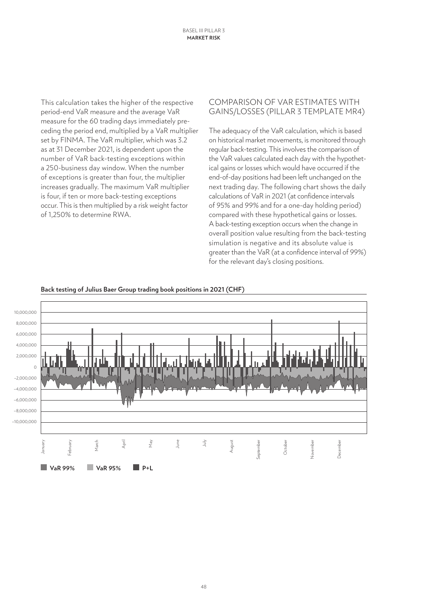This calculation takes the higher of the respective period-end VaR measure and the average VaR measure for the 60 trading days immediately preceding the period end, multiplied by a VaR multiplier set by FINMA. The VaR multiplier, which was 3.2 as at 31 December 2021, is dependent upon the number of VaR back-testing exceptions within a 250-business day window. When the number of exceptions is greater than four, the multiplier increases gradually. The maximum VaR multiplier is four, if ten or more back-testing exceptions occur. This is then multiplied by a risk weight factor of 1,250% to determine RWA.

## COMPARISON OF VAR ESTIMATES WITH GAINS/LOSSES (PILLAR 3 TEMPLATE MR4)

The adequacy of the VaR calculation, which is based on historical market movements, is monitored through regular back-testing. This involves the comparison of the VaR values calculated each day with the hypothetical gains or losses which would have occurred if the end-of-day positions had been left unchanged on the next trading day. The following chart shows the daily calculations of VaR in 2021 (at confidence intervals of 95% and 99% and for a one-day holding period) compared with these hypothetical gains or losses. A back-testing exception occurs when the change in overall position value resulting from the back-testing simulation is negative and its absolute value is greater than the VaR (at a confidence interval of 99%) for the relevant day's closing positions.



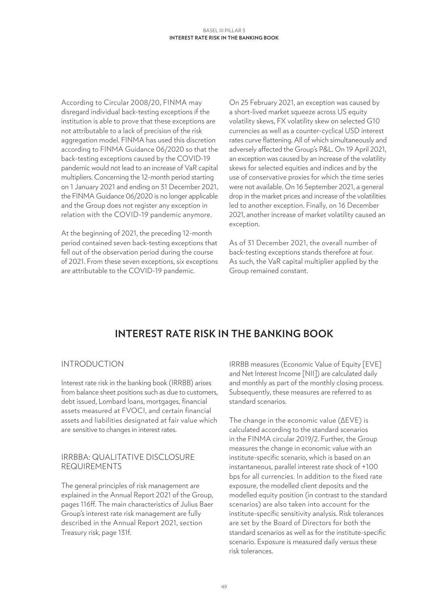<span id="page-48-0"></span>According to Circular 2008/20, FINMA may disregard individual back-testing exceptions if the institution is able to prove that these exceptions are not attributable to a lack of precision of the risk aggregation model. FINMA has used this discretion according to FINMA Guidance 06/2020 so that the back-testing exceptions caused by the COVID-19 pandemic would not lead to an increase of VaR capital multipliers. Concerning the 12-month period starting on 1 January 2021 and ending on 31 December 2021, the FINMA Guidance 06/2020 is no longer applicable and the Group does not register any exception in relation with the COVID-19 pandemic anymore.

At the beginning of 2021, the preceding 12-month period contained seven back-testing exceptions that fell out of the observation period during the course of 2021. From these seven exceptions, six exceptions are attributable to the COVID-19 pandemic.

On 25 February 2021, an exception was caused by a short-lived market squeeze across US equity volatility skews, FX volatility skew on selected G10 currencies as well as a counter-cyclical USD interest rates curve flattening. All of which simultaneously and adversely affected the Group's P&L. On 19 April 2021, an exception was caused by an increase of the volatility skews for selected equities and indices and by the use of conservative proxies for which the time series were not available. On 16 September 2021, a general drop in the market prices and increase of the volatilities led to another exception. Finally, on 16 December 2021, another increase of market volatility caused an exception.

As of 31 December 2021, the overall number of back-testing exceptions stands therefore at four. As such, the VaR capital multiplier applied by the Group remained constant.

# **INTEREST RATE RISK IN THE BANKING BOOK**

# INTRODUCTION

Interest rate risk in the banking book (IRRBB) arises from balance sheet positions such as due to customers, debt issued, Lombard loans, mortgages, financial assets measured at FVOCI, and certain financial assets and liabilities designated at fair value which are sensitive to changes in interest rates.

### IRRBBA: QUALITATIVE DISCLOSURE REQUIREMENTS

The general principles of risk management are explained in the Annual Report 2021 of the Group, pages 116ff. The main characteristics of Julius Baer Group's interest rate risk management are fully described in the Annual Report 2021, section Treasury risk, page 131f.

IRRBB measures (Economic Value of Equity [EVE] and Net Interest Income [NII]) are calculated daily and monthly as part of the monthly closing process. Subsequently, these measures are referred to as standard scenarios.

The change in the economic value (ΔEVE) is calculated according to the standard scenarios in the FINMA circular 2019/2. Further, the Group measures the change in economic value with an institute-specific scenario, which is based on an instantaneous, parallel interest rate shock of +100 bps for all currencies. In addition to the fixed rate exposure, the modelled client deposits and the modelled equity position (in contrast to the standard scenarios) are also taken into account for the institute-specific sensitivity analysis. Risk tolerances are set by the Board of Directors for both the standard scenarios as well as for the institute-specific scenario. Exposure is measured daily versus these risk tolerances.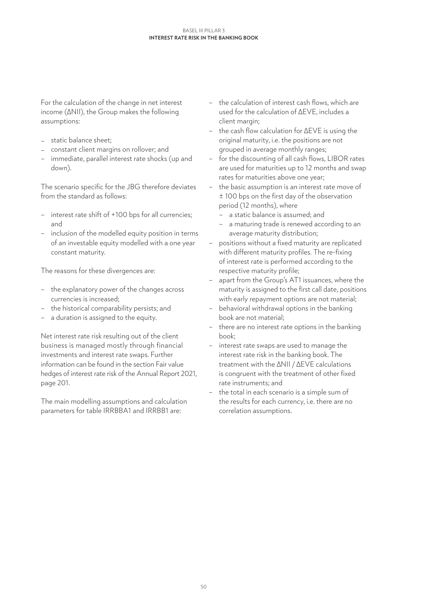#### **Interest rate risk in the banking book** Basel III Pillar 3

For the calculation of the change in net interest income (ΔNII), the Group makes the following assumptions:

- static balance sheet;
- constant client margins on rollover; and
- immediate, parallel interest rate shocks (up and down).

The scenario specific for the JBG therefore deviates from the standard as follows:

- interest rate shift of +100 bps for all currencies; and
- inclusion of the modelled equity position in terms of an investable equity modelled with a one year constant maturity.

The reasons for these divergences are:

- the explanatory power of the changes across currencies is increased;
- the historical comparability persists; and
- a duration is assigned to the equity.

Net interest rate risk resulting out of the client business is managed mostly through financial investments and interest rate swaps. Further information can be found in the section Fair value hedges of interest rate risk of the Annual Report 2021, page 201.

The main modelling assumptions and calculation parameters for table IRRBBA1 and IRRBB1 are:

- the calculation of interest cash flows, which are used for the calculation of ΔEVE, includes a client margin;
- the cash flow calculation for ΔEVE is using the original maturity, i.e. the positions are not grouped in average monthly ranges;
- for the discounting of all cash flows, LIBOR rates are used for maturities up to 12 months and swap rates for maturities above one year;
- the basic assumption is an interest rate move of ± 100 bps on the first day of the observation period (12 months), where
	- a static balance is assumed; and
	- a maturing trade is renewed according to an average maturity distribution;
- positions without a fixed maturity are replicated with different maturity profiles. The re-fixing of interest rate is performed according to the respective maturity profile;
- apart from the Group's AT1 issuances, where the maturity is assigned to the first call date, positions with early repayment options are not material;
- behavioral withdrawal options in the banking book are not material;
- there are no interest rate options in the banking book;
- interest rate swaps are used to manage the interest rate risk in the banking book. The treatment with the ΔNII / ΔEVE calculations is congruent with the treatment of other fixed rate instruments; and
- the total in each scenario is a simple sum of the results for each currency, i.e. there are no correlation assumptions.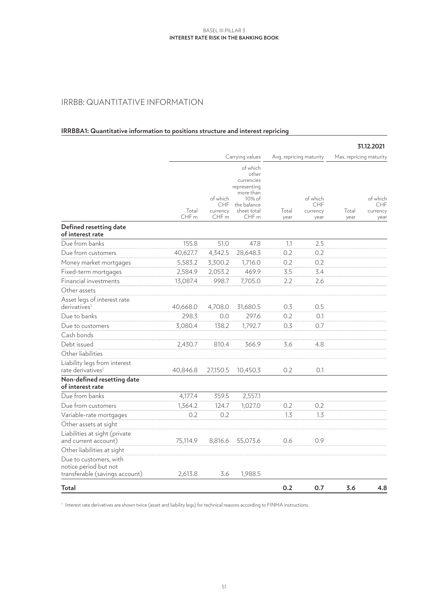#### **Interest rate risk in the banking book** Basel III Pillar 3

# IRRBB: QUANTITATIVE INFORMATION

## **IRRBBA1: Quantitative information to positions structure and interest repricing**

|                                                                                   |                           |                                                        |                                                                                                                          |                         |                                     |                         | 31.12.2021                          |
|-----------------------------------------------------------------------------------|---------------------------|--------------------------------------------------------|--------------------------------------------------------------------------------------------------------------------------|-------------------------|-------------------------------------|-------------------------|-------------------------------------|
|                                                                                   |                           | Carrying values                                        |                                                                                                                          | Avg. repricing maturity |                                     | Max. repricing maturity |                                     |
|                                                                                   | Total<br>CHF <sub>m</sub> | of which<br><b>CHF</b><br>currency<br>CHF <sub>m</sub> | of which<br>other<br>currencies<br>representing<br>more than<br>10% of<br>the balance<br>sheet total<br>CHF <sub>m</sub> | Total<br>year           | of which<br>CHF<br>currency<br>year | Total<br>year           | of which<br>CHF<br>currency<br>year |
| Defined resetting date<br>of interest rate                                        |                           |                                                        |                                                                                                                          |                         |                                     |                         |                                     |
| Due from banks                                                                    | 155.8                     | 51.0                                                   | 47.8                                                                                                                     | 1.1                     | 2.5                                 |                         |                                     |
| Due from customers                                                                | 40,627.7                  | 4,342.5                                                | 28,648.3                                                                                                                 | 0.2                     | 0.2                                 |                         |                                     |
| Money market mortgages                                                            | 5,583.2                   | 3,300.2                                                | 1,716.0                                                                                                                  | 0.2                     | 0.2                                 |                         |                                     |
| Fixed-term mortgages                                                              | 2,584.9                   | 2,053.2                                                | 469.9                                                                                                                    | 3.5                     | 3.4                                 |                         |                                     |
| Financial investments                                                             | 13,087.4                  | 998.7                                                  | 7,705.0                                                                                                                  | 2.2                     | 2.6                                 |                         |                                     |
| Other assets                                                                      |                           |                                                        |                                                                                                                          |                         |                                     |                         |                                     |
| Asset legs of interest rate<br>derivatives <sup>1</sup>                           | 40,668.0                  | 4,708.0                                                | 31,680.5                                                                                                                 | 0.3                     | 0.5                                 |                         |                                     |
| Due to banks                                                                      | 298.3                     | 0.0                                                    | 297.6                                                                                                                    | 0.2                     | 0.1                                 |                         |                                     |
| Due to customers                                                                  | 3,080.4                   | 138.2                                                  | 1,792.7                                                                                                                  | 0.3                     | 0.7                                 |                         |                                     |
| Cash bonds                                                                        |                           |                                                        |                                                                                                                          |                         |                                     |                         |                                     |
| Debt issued                                                                       | 2,430.7                   | 810.4                                                  | 366.9                                                                                                                    | 3.6                     | 4.8                                 |                         |                                     |
| Other liabilities                                                                 |                           |                                                        |                                                                                                                          |                         |                                     |                         |                                     |
| Liability legs from interest<br>rate derivatives <sup>1</sup>                     | 40,846.8                  | 27,150.5                                               | 10,450.3                                                                                                                 | 0.2                     | 0.1                                 |                         |                                     |
| Non-defined resetting date<br>of interest rate                                    |                           |                                                        |                                                                                                                          |                         |                                     |                         |                                     |
| Due from banks                                                                    | 4,177.4                   | 359.5                                                  | 2,557.1                                                                                                                  |                         |                                     |                         |                                     |
| Due from customers                                                                | 1,364.2                   | 124.7                                                  | 1,027.0                                                                                                                  | 0.2                     | 0.2                                 |                         |                                     |
| Variable-rate mortgages                                                           | 0.2                       | 0.2                                                    |                                                                                                                          | 1.3                     | $1.3\phantom{0}$                    |                         |                                     |
| Other assets at sight                                                             |                           |                                                        |                                                                                                                          |                         |                                     |                         |                                     |
| Liabilities at sight (private                                                     |                           |                                                        |                                                                                                                          |                         |                                     |                         |                                     |
| and current account)                                                              | 75,114.9                  | 8,816.6                                                | 55,073.6                                                                                                                 | 0.6                     | 0.9                                 |                         |                                     |
| Other liabilities at sight                                                        |                           |                                                        |                                                                                                                          |                         |                                     |                         |                                     |
| Due to customers, with<br>notice period but not<br>transferable (savings account) | 2,613.8                   | 3.6                                                    | 1,988.5                                                                                                                  |                         |                                     |                         |                                     |
| Total                                                                             |                           |                                                        |                                                                                                                          | 0.2                     | 0.7                                 | 3.6                     | 4.8                                 |

<sup>1</sup> Interest rate derivatives are shown twice (asset and liability legs) for technical reasons according to FINMA instructions.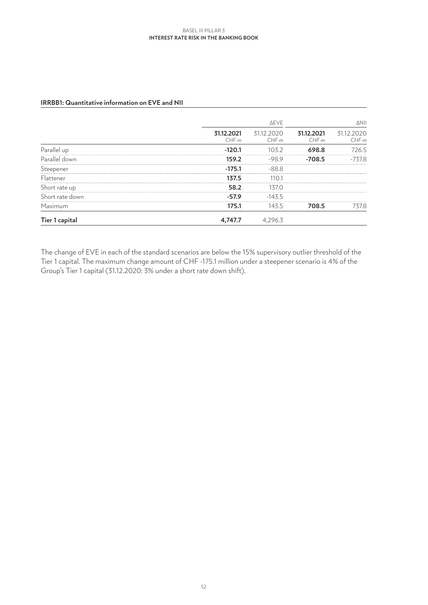#### **Interest rate risk in the banking book** Basel III Pillar 3

|                 |                    | <b>AEVE</b>        |                    |                    |
|-----------------|--------------------|--------------------|--------------------|--------------------|
|                 | 31.12.2021<br>CHFm | 31.12.2020<br>CHFm | 31.12.2021<br>CHFm | 31.12.2020<br>CHFm |
| Parallel up     | $-120.1$           | 103.2              | 698.8              | 726.5              |
| Parallel down   | 159.2              | $-98.9$            | $-708.5$           | $-737.8$           |
| Steepener       | $-175.1$           | $-88.8$            |                    |                    |
| Flattener       | 137.5              | 110.1              |                    |                    |
| Short rate up   | 58.2               | 137.0              |                    |                    |
| Short rate down | $-57.9$            | $-143.5$           |                    |                    |
| Maximum         | 175.1              | 143.5              | 708.5              | 737.8              |
| Tier 1 capital  | 4,747.7            | 4,296.3            |                    |                    |

#### **IRRBB1: Quantitative information on EVE and NII**

The change of EVE in each of the standard scenarios are below the 15% supervisory outlier threshold of the Tier 1 capital. The maximum change amount of CHF -175.1 million under a steepener scenario is 4% of the Group's Tier 1 capital (31.12.2020: 3% under a short rate down shift).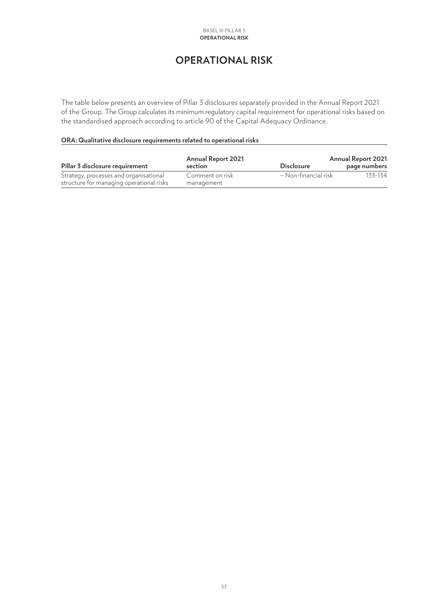# **OPERATIONAL RISK**

<span id="page-52-0"></span>The table below presents an overview of Pillar 3 disclosures separately provided in the Annual Report 2021 of the Group. The Group calculates its minimum regulatory capital requirement for operational risks based on the standardised approach according to article 90 of the Capital Adequacy Ordinance.

#### **ORA: Qualitative disclosure requirements related to operational risks**

| Pillar 3 disclosure requirement          | <b>Annual Report 2021</b><br>section | <b>Disclosure</b>    | <b>Annual Report 2021</b><br>page numbers |  |  |
|------------------------------------------|--------------------------------------|----------------------|-------------------------------------------|--|--|
| Strategy, processes and organisational   | Comment on risk                      | – Non-financial risk | 133-134                                   |  |  |
| structure for managing operational risks | management                           |                      |                                           |  |  |